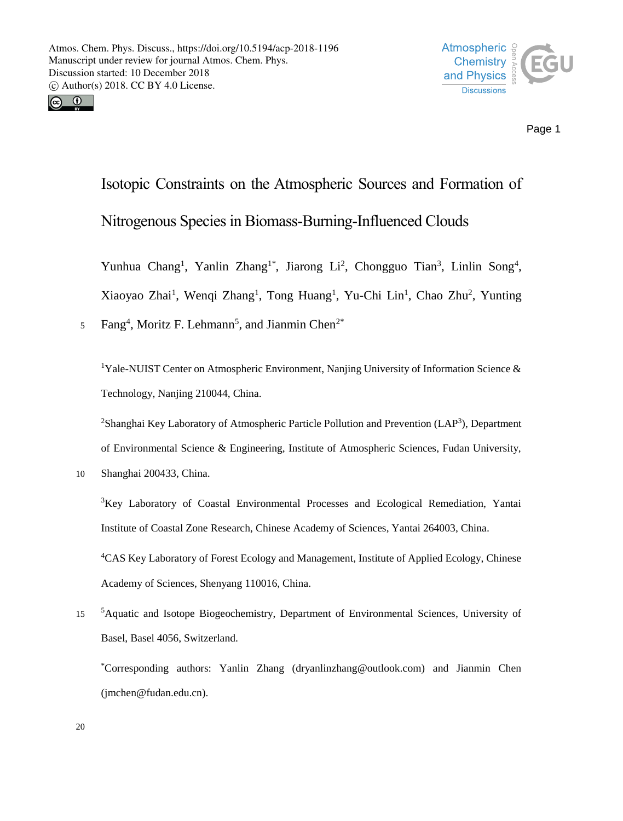



Page 1

Isotopic Constraints on the Atmospheric Sources and Formation of Nitrogenous Species in Biomass-Burning-Influenced Clouds

Yunhua Chang<sup>1</sup>, Yanlin Zhang<sup>1\*</sup>, Jiarong Li<sup>2</sup>, Chongguo Tian<sup>3</sup>, Linlin Song<sup>4</sup>, Xiaoyao Zhai<sup>1</sup>, Wenqi Zhang<sup>1</sup>, Tong Huang<sup>1</sup>, Yu-Chi Lin<sup>1</sup>, Chao Zhu<sup>2</sup>, Yunting

5 Fang<sup>4</sup>, Moritz F. Lehmann<sup>5</sup>, and Jianmin Chen<sup>2\*</sup>

<sup>1</sup>Yale-NUIST Center on Atmospheric Environment, Nanjing University of Information Science  $\&$ Technology, Nanjing 210044, China.

<sup>2</sup>Shanghai Key Laboratory of Atmospheric Particle Pollution and Prevention (LAP<sup>3</sup>), Department of Environmental Science & Engineering, Institute of Atmospheric Sciences, Fudan University,

10 Shanghai 200433, China.

<sup>3</sup>Key Laboratory of Coastal Environmental Processes and Ecological Remediation, Yantai Institute of Coastal Zone Research, Chinese Academy of Sciences, Yantai 264003, China.

<sup>4</sup>CAS Key Laboratory of Forest Ecology and Management, Institute of Applied Ecology, Chinese Academy of Sciences, Shenyang 110016, China.

<sup>5</sup> Aquatic and Isotope Biogeochemistry, Department of Environmental Sciences, University of Basel, Basel 4056, Switzerland.

\*Corresponding authors: Yanlin Zhang (dryanlinzhang@outlook.com) and Jianmin Chen (jmchen@fudan.edu.cn).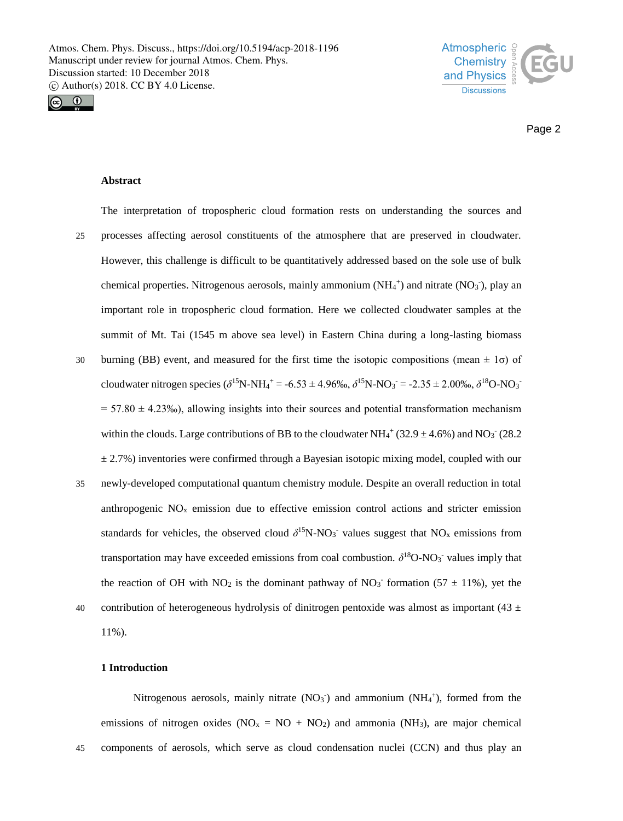

 $\odot$ 

Page 2

#### **Abstract**

The interpretation of tropospheric cloud formation rests on understanding the sources and 25 processes affecting aerosol constituents of the atmosphere that are preserved in cloudwater. However, this challenge is difficult to be quantitatively addressed based on the sole use of bulk chemical properties. Nitrogenous aerosols, mainly ammonium (NH<sub>4</sub><sup>+</sup>) and nitrate (NO<sub>3</sub><sup>-</sup>), play an important role in tropospheric cloud formation. Here we collected cloudwater samples at the summit of Mt. Tai (1545 m above sea level) in Eastern China during a long-lasting biomass 30 burning (BB) event, and measured for the first time the isotopic compositions (mean  $\pm$  1 $\sigma$ ) of cloudwater nitrogen species  $(\delta^{15}N\text{-}NH_4{}^+=-6.53\pm4.96\%, \delta^{15}N\text{-}NO_3{}^-=-2.35\pm2.00\%, \delta^{18}O\text{-}NO_3{}^ = 57.80 \pm 4.23\%$ , allowing insights into their sources and potential transformation mechanism within the clouds. Large contributions of BB to the cloudwater  $NH_4^+$  (32.9  $\pm$  4.6%) and NO<sub>3</sub><sup>-</sup> (28.2)  $\pm$  2.7%) inventories were confirmed through a Bayesian isotopic mixing model, coupled with our 35 newly-developed computational quantum chemistry module. Despite an overall reduction in total anthropogenic  $NO<sub>x</sub>$  emission due to effective emission control actions and stricter emission

standards for vehicles, the observed cloud  $\delta^{15}N\text{-}NO_3$ <sup>-</sup> values suggest that  $NO_x$  emissions from transportation may have exceeded emissions from coal combustion.  $\delta^{18}O-NO_3$  values imply that the reaction of OH with NO<sub>2</sub> is the dominant pathway of NO<sub>3</sub><sup>-</sup> formation (57  $\pm$  11%), yet the 40 contribution of heterogeneous hydrolysis of dinitrogen pentoxide was almost as important (43  $\pm$ 11%).

#### **1 Introduction**

Nitrogenous aerosols, mainly nitrate  $(NO<sub>3</sub>)$  and ammonium  $(NH<sub>4</sub><sup>+</sup>)$ , formed from the emissions of nitrogen oxides ( $NO<sub>x</sub> = NO + NO<sub>2</sub>$ ) and ammonia ( $NH<sub>3</sub>$ ), are major chemical 45 components of aerosols, which serve as cloud condensation nuclei (CCN) and thus play an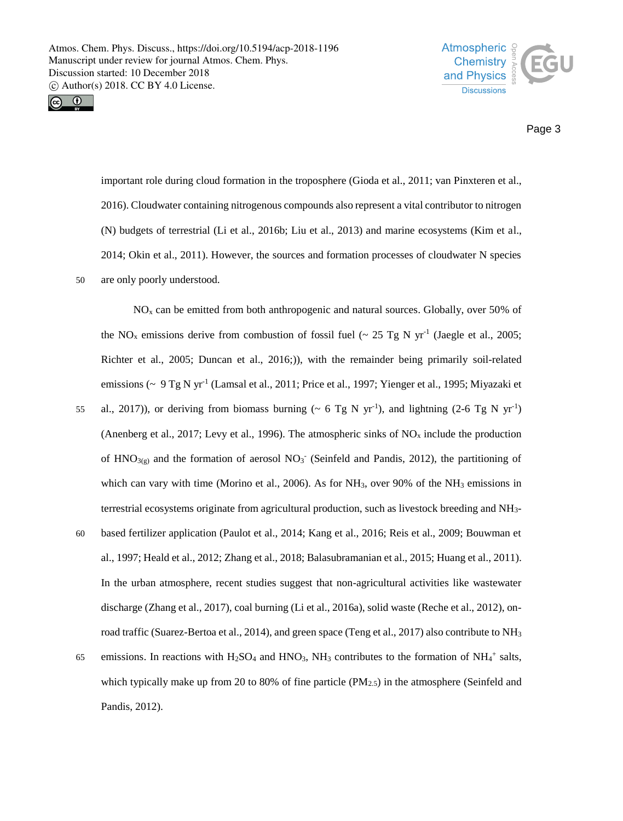



Page 3

important role during cloud formation in the troposphere (Gioda et al., 2011; van Pinxteren et al., 2016). Cloudwater containing nitrogenous compounds also represent a vital contributor to nitrogen (N) budgets of terrestrial (Li et al., 2016b; Liu et al., 2013) and marine ecosystems (Kim et al., 2014; Okin et al., 2011). However, the sources and formation processes of cloudwater N species 50 are only poorly understood.

NO<sup>x</sup> can be emitted from both anthropogenic and natural sources. Globally, over 50% of the NO<sub>x</sub> emissions derive from combustion of fossil fuel ( $\sim 25$  Tg N yr<sup>-1</sup> (Jaegle et al., 2005; Richter et al., 2005; Duncan et al., 2016;)), with the remainder being primarily soil-related emissions (~ 9 Tg N yr<sup>-1</sup> (Lamsal et al., 2011; Price et al., 1997; Yienger et al., 1995; Miyazaki et

- 55 al., 2017)), or deriving from biomass burning  $({\sim 6 \text{ Tg N yr}^{-1}})$ , and lightning  $(2-6 \text{ Tg N yr}^{-1})$ (Anenberg et al., 2017; Levy et al., 1996). The atmospheric sinks of  $NO<sub>x</sub>$  include the production of  $HNO<sub>3(g)</sub>$  and the formation of aerosol  $NO<sub>3</sub>$  (Seinfeld and Pandis, 2012), the partitioning of which can vary with time (Morino et al., 2006). As for  $NH<sub>3</sub>$ , over 90% of the  $NH<sub>3</sub>$  emissions in terrestrial ecosystems originate from agricultural production, such as livestock breeding and NH3-
- 60 based fertilizer application (Paulot et al., 2014; Kang et al., 2016; Reis et al., 2009; Bouwman et al., 1997; Heald et al., 2012; Zhang et al., 2018; Balasubramanian et al., 2015; Huang et al., 2011). In the urban atmosphere, recent studies suggest that non-agricultural activities like wastewater discharge (Zhang et al., 2017), coal burning (Li et al., 2016a), solid waste (Reche et al., 2012), onroad traffic (Suarez-Bertoa et al., 2014), and green space (Teng et al., 2017) also contribute to NH<sub>3</sub>
- 65 emissions. In reactions with  $H_2SO_4$  and  $HNO_3$ ,  $NH_3$  contributes to the formation of  $NH_4^+$  salts, which typically make up from 20 to 80% of fine particle  $(PM_{2.5})$  in the atmosphere (Seinfeld and Pandis, 2012).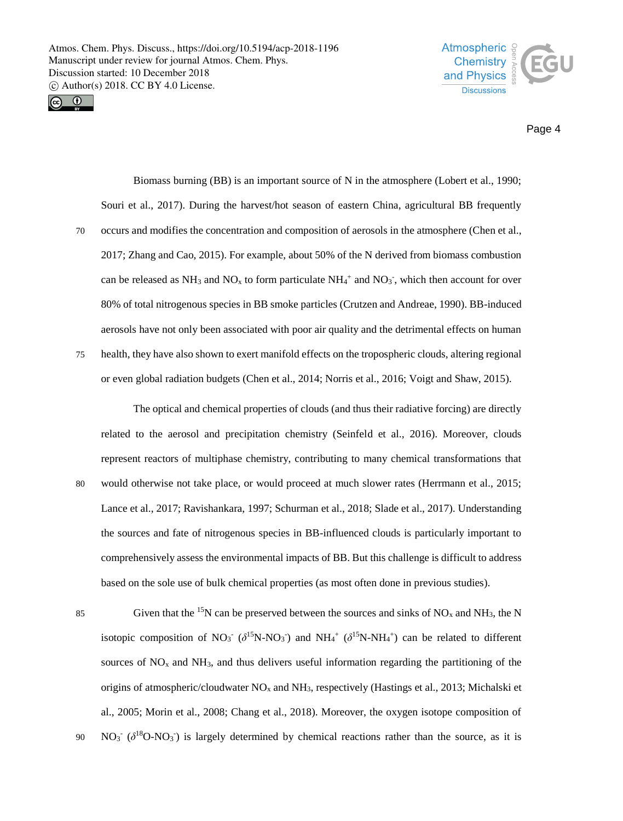

 $\odot$ 

Page 4

Biomass burning (BB) is an important source of N in the atmosphere (Lobert et al., 1990; Souri et al., 2017). During the harvest/hot season of eastern China, agricultural BB frequently

70 occurs and modifies the concentration and composition of aerosols in the atmosphere (Chen et al., 2017; Zhang and Cao, 2015). For example, about 50% of the N derived from biomass combustion can be released as NH<sub>3</sub> and NO<sub>x</sub> to form particulate NH<sub>4</sub><sup>+</sup> and NO<sub>3</sub><sup>-</sup>, which then account for over 80% of total nitrogenous species in BB smoke particles (Crutzen and Andreae, 1990). BB-induced aerosols have not only been associated with poor air quality and the detrimental effects on human 75 health, they have also shown to exert manifold effects on the tropospheric clouds, altering regional

The optical and chemical properties of clouds (and thus their radiative forcing) are directly related to the aerosol and precipitation chemistry (Seinfeld et al., 2016). Moreover, clouds represent reactors of multiphase chemistry, contributing to many chemical transformations that

or even global radiation budgets (Chen et al., 2014; Norris et al., 2016; Voigt and Shaw, 2015).

- 80 would otherwise not take place, or would proceed at much slower rates (Herrmann et al., 2015; Lance et al., 2017; Ravishankara, 1997; Schurman et al., 2018; Slade et al., 2017). Understanding the sources and fate of nitrogenous species in BB-influenced clouds is particularly important to comprehensively assess the environmental impacts of BB. But this challenge is difficult to address based on the sole use of bulk chemical properties (as most often done in previous studies).
- 85 Given that the <sup>15</sup>N can be preserved between the sources and sinks of  $NO<sub>x</sub>$  and  $NH<sub>3</sub>$ , the N isotopic composition of NO<sub>3</sub><sup>-</sup> ( $\delta$ <sup>15</sup>N-NO<sub>3</sub><sup>-</sup>) and NH<sub>4</sub><sup>+</sup> ( $\delta$ <sup>15</sup>N-NH<sub>4</sub><sup>+</sup>) can be related to different sources of  $NO<sub>x</sub>$  and  $NH<sub>3</sub>$ , and thus delivers useful information regarding the partitioning of the origins of atmospheric/cloudwater  $NO<sub>x</sub>$  and  $NH<sub>3</sub>$ , respectively (Hastings et al., 2013; Michalski et al., 2005; Morin et al., 2008; Chang et al., 2018). Moreover, the oxygen isotope composition of 90  $NO_3^-$  ( $\delta^{18}$ O-NO<sub>3</sub><sup>-</sup>) is largely determined by chemical reactions rather than the source, as it is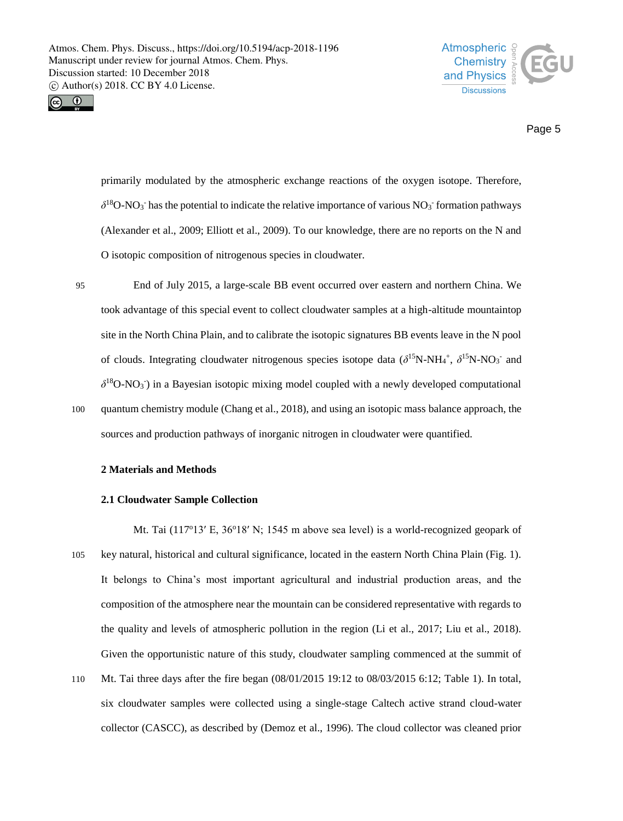



Page 5

primarily modulated by the atmospheric exchange reactions of the oxygen isotope. Therefore,  $\delta^{18}$ O-NO<sub>3</sub><sup>-</sup> has the potential to indicate the relative importance of various NO<sub>3</sub><sup>-</sup> formation pathways (Alexander et al., 2009; Elliott et al., 2009). To our knowledge, there are no reports on the N and O isotopic composition of nitrogenous species in cloudwater.

95 End of July 2015, a large-scale BB event occurred over eastern and northern China. We took advantage of this special event to collect cloudwater samples at a high-altitude mountaintop site in the North China Plain, and to calibrate the isotopic signatures BB events leave in the N pool of clouds. Integrating cloudwater nitrogenous species isotope data ( $\delta^{15}$ N-NH<sub>4</sub><sup>+</sup>,  $\delta^{15}$ N-NO<sub>3</sub><sup>-</sup> and  $\delta^{18}O-NO_3$ ) in a Bayesian isotopic mixing model coupled with a newly developed computational 100 quantum chemistry module (Chang et al., 2018), and using an isotopic mass balance approach, the sources and production pathways of inorganic nitrogen in cloudwater were quantified.

#### **2 Materials and Methods**

## **2.1 Cloudwater Sample Collection**

- Mt. Tai (117°13′ E, 36°18′ N; 1545 m above sea level) is a world-recognized geopark of 105 key natural, historical and cultural significance, located in the eastern North China Plain (Fig. 1). It belongs to China's most important agricultural and industrial production areas, and the composition of the atmosphere near the mountain can be considered representative with regards to the quality and levels of atmospheric pollution in the region (Li et al., 2017; Liu et al., 2018). Given the opportunistic nature of this study, cloudwater sampling commenced at the summit of
- 110 Mt. Tai three days after the fire began (08/01/2015 19:12 to 08/03/2015 6:12; Table 1). In total, six cloudwater samples were collected using a single-stage Caltech active strand cloud-water collector (CASCC), as described by (Demoz et al., 1996). The cloud collector was cleaned prior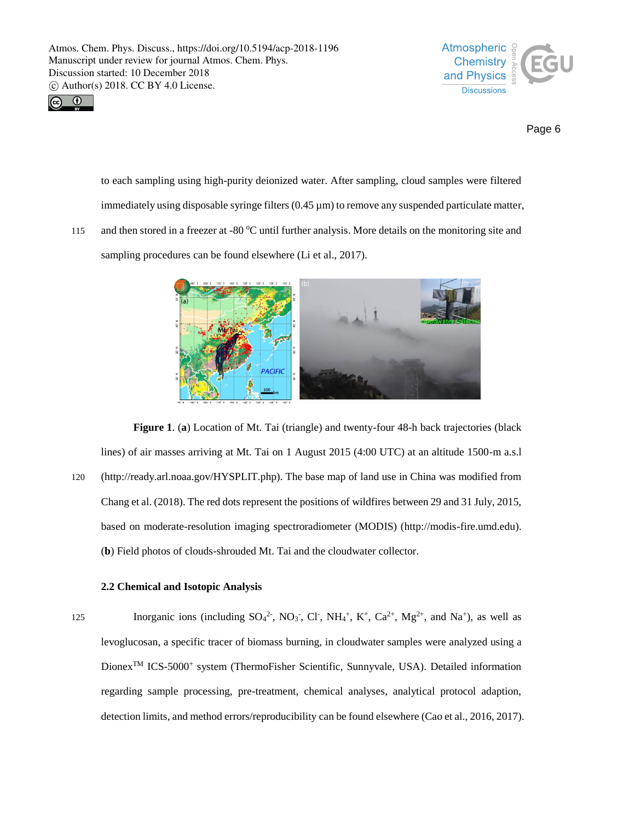

 $\odot$ 

Page 6

to each sampling using high-purity deionized water. After sampling, cloud samples were filtered immediately using disposable syringe filters (0.45 µm) to remove any suspended particulate matter, 115 and then stored in a freezer at -80  $^{\circ}$ C until further analysis. More details on the monitoring site and

sampling procedures can be found elsewhere (Li et al., 2017).



**Figure 1**. (**a**) Location of Mt. Tai (triangle) and twenty-four 48-h back trajectories (black lines) of air masses arriving at Mt. Tai on 1 August 2015 (4:00 UTC) at an altitude 1500-m a.s.l 120 (http://ready.arl.noaa.gov/HYSPLIT.php). The base map of land use in China was modified from Chang et al. (2018). The red dots represent the positions of wildfires between 29 and 31 July, 2015, based on moderate-resolution imaging spectroradiometer (MODIS) (http://modis-fire.umd.edu). (**b**) Field photos of clouds-shrouded Mt. Tai and the cloudwater collector.

# **2.2 Chemical and Isotopic Analysis**

125 Inorganic ions (including  $SO_4^2$ ,  $NO_3$ , Cl,  $NH_4^+$ ,  $K^+$ ,  $Ca^{2+}$ ,  $Mg^{2+}$ , and  $Na^+$ ), as well as levoglucosan, a specific tracer of biomass burning, in cloudwater samples were analyzed using a Dionex<sup>TM</sup> ICS-5000<sup>+</sup> system (ThermoFisher Scientific, Sunnyvale, USA). Detailed information regarding sample processing, pre-treatment, chemical analyses, analytical protocol adaption, detection limits, and method errors/reproducibility can be found elsewhere (Cao et al., 2016, 2017).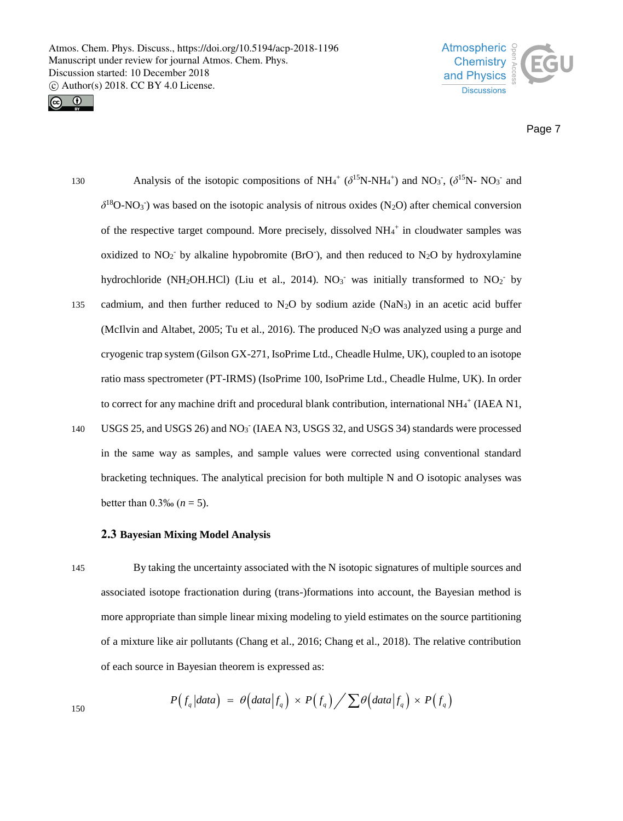



150

Page 7

130 Analysis of the isotopic compositions of  $NH_4^+$  ( $\delta^{15}N\text{-}NH_4^+$ ) and  $NO_3^-$ , ( $\delta^{15}N\text{-} NO_3^-$  and  $\delta^{18}$ O-NO<sub>3</sub><sup>-</sup>) was based on the isotopic analysis of nitrous oxides (N<sub>2</sub>O) after chemical conversion of the respective target compound. More precisely, dissolved NH<sub>4</sub><sup>+</sup> in cloudwater samples was oxidized to  $NO_2$ <sup>-</sup> by alkaline hypobromite (BrO<sup>-</sup>), and then reduced to  $N_2O$  by hydroxylamine hydrochloride (NH<sub>2</sub>OH.HCl) (Liu et al., 2014). NO<sub>3</sub> was initially transformed to NO<sub>2</sub> by 135 cadmium, and then further reduced to  $N_2O$  by sodium azide (NaN<sub>3</sub>) in an acetic acid buffer (McIlvin and Altabet, 2005; Tu et al., 2016). The produced N2O was analyzed using a purge and cryogenic trap system (Gilson GX-271, IsoPrime Ltd., Cheadle Hulme, UK), coupled to an isotope ratio mass spectrometer (PT-IRMS) (IsoPrime 100, IsoPrime Ltd., Cheadle Hulme, UK). In order to correct for any machine drift and procedural blank contribution, international NH<sub>4</sub><sup>+</sup> (IAEA N1, 140 USGS 25, and USGS 26) and NO<sub>3</sub><sup>-</sup> (IAEA N3, USGS 32, and USGS 34) standards were processed in the same way as samples, and sample values were corrected using conventional standard

bracketing techniques. The analytical precision for both multiple N and O isotopic analyses was better than  $0.3\%$  ( $n = 5$ ).

# **2.3 Bayesian Mixing Model Analysis**

145 By taking the uncertainty associated with the N isotopic signatures of multiple sources and associated isotope fractionation during (trans-)formations into account, the Bayesian method is more appropriate than simple linear mixing modeling to yield estimates on the source partitioning of a mixture like air pollutants (Chang et al., 2016; Chang et al., 2018). The relative contribution of each source in Bayesian theorem is expressed as:

$$
P(f_q|data) = \theta\big(data|f_q\big) \times P(f_q) \big/ \sum \theta\big(data|f_q\big) \times P(f_q)
$$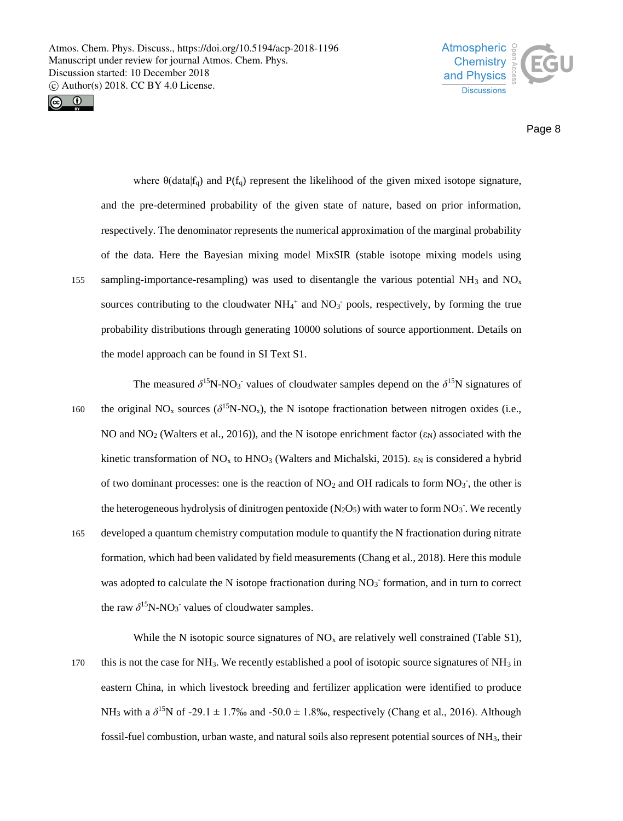



Page 8

where  $\theta$ (data|f<sub>q</sub>) and P(f<sub>q</sub>) represent the likelihood of the given mixed isotope signature, and the pre-determined probability of the given state of nature, based on prior information, respectively. The denominator represents the numerical approximation of the marginal probability of the data. Here the Bayesian mixing model MixSIR (stable isotope mixing models using 155 sampling-importance-resampling) was used to disentangle the various potential  $NH_3$  and  $NO<sub>x</sub>$ sources contributing to the cloudwater  $NH_4^+$  and  $NO_3^-$  pools, respectively, by forming the true probability distributions through generating 10000 solutions of source apportionment. Details on the model approach can be found in SI Text S1.

The measured  $\delta^{15}N\text{-}NO_3$ <sup>-</sup> values of cloudwater samples depend on the  $\delta^{15}N$  signatures of 160 the original NO<sub>x</sub> sources ( $\delta^{15}N\text{-}NO_x$ ), the N isotope fractionation between nitrogen oxides (i.e., NO and NO<sub>2</sub> (Walters et al., 2016)), and the N isotope enrichment factor  $(\epsilon_N)$  associated with the kinetic transformation of NO<sub>x</sub> to HNO<sub>3</sub> (Walters and Michalski, 2015).  $\varepsilon_N$  is considered a hybrid of two dominant processes: one is the reaction of  $NO<sub>2</sub>$  and OH radicals to form  $NO<sub>3</sub>$ , the other is the heterogeneous hydrolysis of dinitrogen pentoxide ( $N_2O_5$ ) with water to form  $NO_3$ . We recently 165 developed a quantum chemistry computation module to quantify the N fractionation during nitrate formation, which had been validated by field measurements (Chang et al., 2018). Here this module was adopted to calculate the N isotope fractionation during NO<sub>3</sub> formation, and in turn to correct the raw  $\delta^{15}$ N-NO<sub>3</sub><sup>-</sup> values of cloudwater samples.

While the N isotopic source signatures of  $NO<sub>x</sub>$  are relatively well constrained (Table S1), 170 this is not the case for  $NH_3$ . We recently established a pool of isotopic source signatures of  $NH_3$  in eastern China, in which livestock breeding and fertilizer application were identified to produce NH<sub>3</sub> with a  $\delta^{15}N$  of -29.1  $\pm$  1.7‰ and -50.0  $\pm$  1.8‰, respectively (Chang et al., 2016). Although fossil-fuel combustion, urban waste, and natural soils also represent potential sources of NH3, their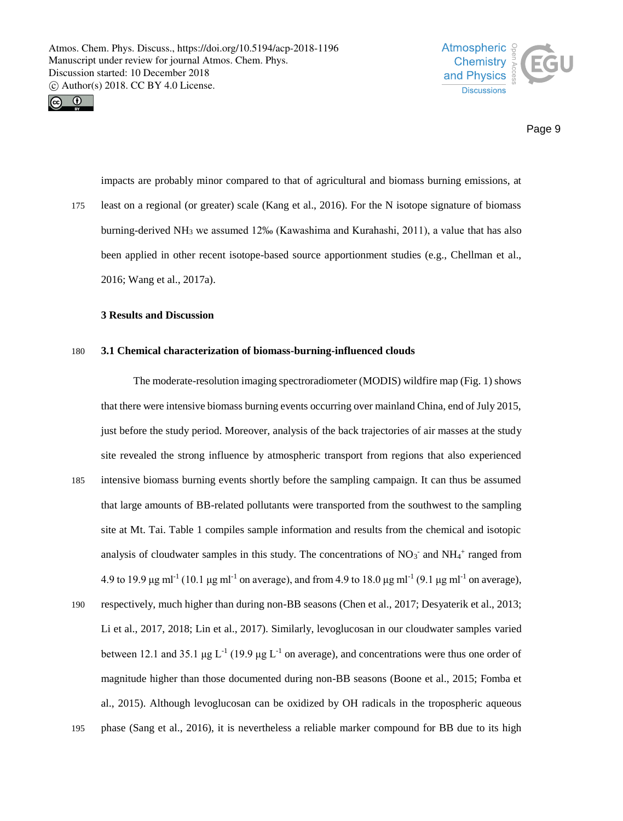



Page 9

impacts are probably minor compared to that of agricultural and biomass burning emissions, at 175 least on a regional (or greater) scale (Kang et al., 2016). For the N isotope signature of biomass burning-derived NH<sup>3</sup> we assumed 12‰ (Kawashima and Kurahashi, 2011), a value that has also been applied in other recent isotope-based source apportionment studies (e.g., Chellman et al., 2016; Wang et al., 2017a).

## **3 Results and Discussion**

## 180 **3.1 Chemical characterization of biomass-burning-influenced clouds**

The moderate-resolution imaging spectroradiometer (MODIS) wildfire map (Fig. 1) shows that there were intensive biomass burning events occurring over mainland China, end of July 2015, just before the study period. Moreover, analysis of the back trajectories of air masses at the study site revealed the strong influence by atmospheric transport from regions that also experienced 185 intensive biomass burning events shortly before the sampling campaign. It can thus be assumed that large amounts of BB-related pollutants were transported from the southwest to the sampling site at Mt. Tai. Table 1 compiles sample information and results from the chemical and isotopic analysis of cloudwater samples in this study. The concentrations of  $NO<sub>3</sub>$  and  $NH<sub>4</sub>$ <sup>+</sup> ranged from 4.9 to 19.9  $\mu$ g ml<sup>-1</sup> (10.1  $\mu$ g ml<sup>-1</sup> on average), and from 4.9 to 18.0  $\mu$ g ml<sup>-1</sup> (9.1  $\mu$ g ml<sup>-1</sup> on average), 190 respectively, much higher than during non-BB seasons (Chen et al., 2017; Desyaterik et al., 2013; Li et al., 2017, 2018; Lin et al., 2017). Similarly, levoglucosan in our cloudwater samples varied between 12.1 and 35.1  $\mu$ g L<sup>-1</sup> (19.9  $\mu$ g L<sup>-1</sup> on average), and concentrations were thus one order of magnitude higher than those documented during non-BB seasons (Boone et al., 2015; Fomba et al., 2015). Although levoglucosan can be oxidized by OH radicals in the tropospheric aqueous

195 phase (Sang et al., 2016), it is nevertheless a reliable marker compound for BB due to its high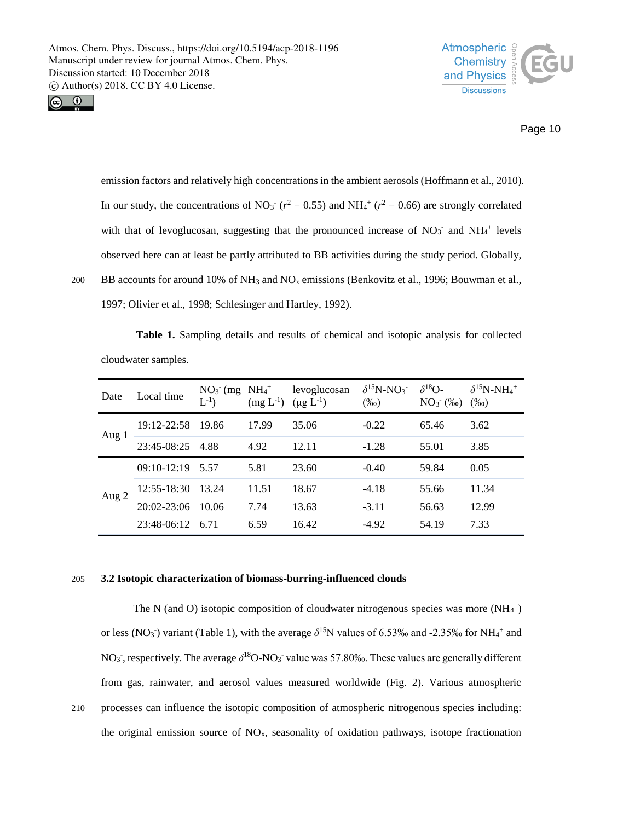



Page 10

emission factors and relatively high concentrations in the ambient aerosols (Hoffmann et al., 2010). In our study, the concentrations of NO<sub>3</sub><sup> $\dot{r}$ </sup> ( $r^2 = 0.55$ ) and NH<sub>4</sub><sup> $\dot{r}$ </sup> ( $r^2 = 0.66$ ) are strongly correlated with that of levoglucosan, suggesting that the pronounced increase of  $NO<sub>3</sub>$  and  $NH<sub>4</sub>$ <sup>+</sup> levels observed here can at least be partly attributed to BB activities during the study period. Globally, 200 BB accounts for around 10% of NH<sup>3</sup> and NO<sup>x</sup> emissions (Benkovitz et al., 1996; Bouwman et al., 1997; Olivier et al., 1998; Schlesinger and Hartley, 1992).

**Table 1.** Sampling details and results of chemical and isotopic analysis for collected cloudwater samples.

| Date    | Local time         | $NO_3$ (mg $NH_4$ <sup>+</sup><br>$L^{-1}$ ) | $(mg L^{-1})$ | levoglucosan<br>$(\mu g L^{-1})$ | $\delta^{15}N\text{-}NO_3^-$<br>$(\%0)$ | $\delta^{18}O-$<br>$NO3-$ (%o) | $\delta^{15}N$ -NH <sub>4</sub> <sup>+</sup><br>$(\%0)$ |
|---------|--------------------|----------------------------------------------|---------------|----------------------------------|-----------------------------------------|--------------------------------|---------------------------------------------------------|
| Aug 1   | 19:12-22:58        | -19.86                                       | 17.99         | 35.06                            | $-0.22$                                 | 65.46                          | 3.62                                                    |
|         | 23:45-08:25        | 4.88                                         | 4.92          | 12.11                            | $-1.28$                                 | 55.01                          | 3.85                                                    |
| Aug $2$ | $09:10-12:19$      | 5.57                                         | 5.81          | 23.60                            | $-0.40$                                 | 59.84                          | 0.05                                                    |
|         | 12:55-18:30        | 13.24                                        | 11.51         | 18.67                            | $-4.18$                                 | 55.66                          | 11.34                                                   |
|         | $20:02 - 23:06$    | 10.06                                        | 7.74          | 13.63                            | $-3.11$                                 | 56.63                          | 12.99                                                   |
|         | $23:48-06:12$ 6.71 |                                              | 6.59          | 16.42                            | $-4.92$                                 | 54.19                          | 7.33                                                    |

#### 205 **3.2 Isotopic characterization of biomass-burring-influenced clouds**

The N (and O) isotopic composition of cloudwater nitrogenous species was more  $(NH<sub>4</sub><sup>+</sup>)$ or less (NO<sub>3</sub><sup>-</sup>) variant (Table 1), with the average  $\delta^{15}N$  values of 6.53‰ and -2.35‰ for NH<sub>4</sub><sup>+</sup> and NO<sub>3</sub><sup>-</sup>, respectively. The average  $\delta^{18}O\text{-NO}_3$ <sup>-</sup> value was 57.80‰. These values are generally different from gas, rainwater, and aerosol values measured worldwide (Fig. 2). Various atmospheric 210 processes can influence the isotopic composition of atmospheric nitrogenous species including:

the original emission source of  $NO<sub>x</sub>$ , seasonality of oxidation pathways, isotope fractionation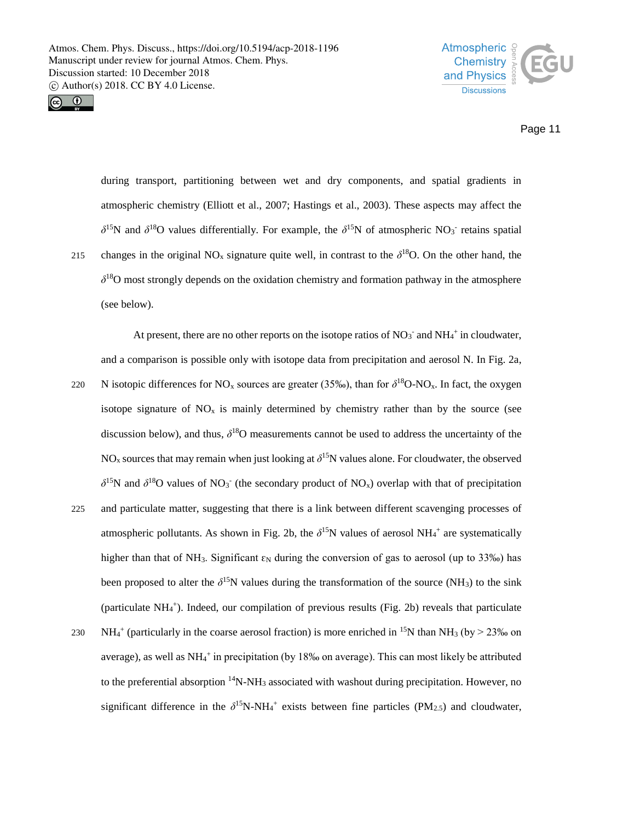



Page 11

during transport, partitioning between wet and dry components, and spatial gradients in atmospheric chemistry (Elliott et al., 2007; Hastings et al., 2003). These aspects may affect the  $\delta^{15}$ N and  $\delta^{18}$ O values differentially. For example, the  $\delta^{15}$ N of atmospheric NO<sub>3</sub> retains spatial changes in the original NO<sub>x</sub> signature quite well, in contrast to the  $\delta^{18}O$ . On the other hand, the *δ* <sup>18</sup>O most strongly depends on the oxidation chemistry and formation pathway in the atmosphere (see below).

At present, there are no other reports on the isotope ratios of  $NO<sub>3</sub>$  and  $NH<sub>4</sub>$  in cloudwater, and a comparison is possible only with isotope data from precipitation and aerosol N. In Fig. 2a,

- 220 N isotopic differences for NO<sub>x</sub> sources are greater (35‰), than for  $\delta^{18}$ O-NO<sub>x</sub>. In fact, the oxygen isotope signature of  $NO<sub>x</sub>$  is mainly determined by chemistry rather than by the source (see discussion below), and thus,  $\delta^{18}O$  measurements cannot be used to address the uncertainty of the NO<sub>x</sub> sources that may remain when just looking at  $\delta^{15}N$  values alone. For cloudwater, the observed  $\delta^{15}$ N and  $\delta^{18}$ O values of NO<sub>3</sub><sup>-</sup> (the secondary product of NO<sub>x</sub>) overlap with that of precipitation
- 225 and particulate matter, suggesting that there is a link between different scavenging processes of atmospheric pollutants. As shown in Fig. 2b, the  $\delta^{15}N$  values of aerosol NH<sub>4</sub><sup>+</sup> are systematically higher than that of NH<sub>3</sub>. Significant  $\varepsilon_N$  during the conversion of gas to aerosol (up to 33‰) has been proposed to alter the  $\delta^{15}N$  values during the transformation of the source (NH<sub>3</sub>) to the sink (particulate NH<sub>4</sub><sup>+</sup>). Indeed, our compilation of previous results (Fig. 2b) reveals that particulate
- 230 NH<sub>4</sub><sup>+</sup> (particularly in the coarse aerosol fraction) is more enriched in <sup>15</sup>N than NH<sub>3</sub> (by > 23‰ on average), as well as NH<sup>4</sup> + in precipitation (by 18‰ on average). This can most likely be attributed to the preferential absorption  $14N-NH_3$  associated with washout during precipitation. However, no significant difference in the  $\delta^{15}N\text{-}NH_4$ <sup>+</sup> exists between fine particles (PM<sub>2.5</sub>) and cloudwater,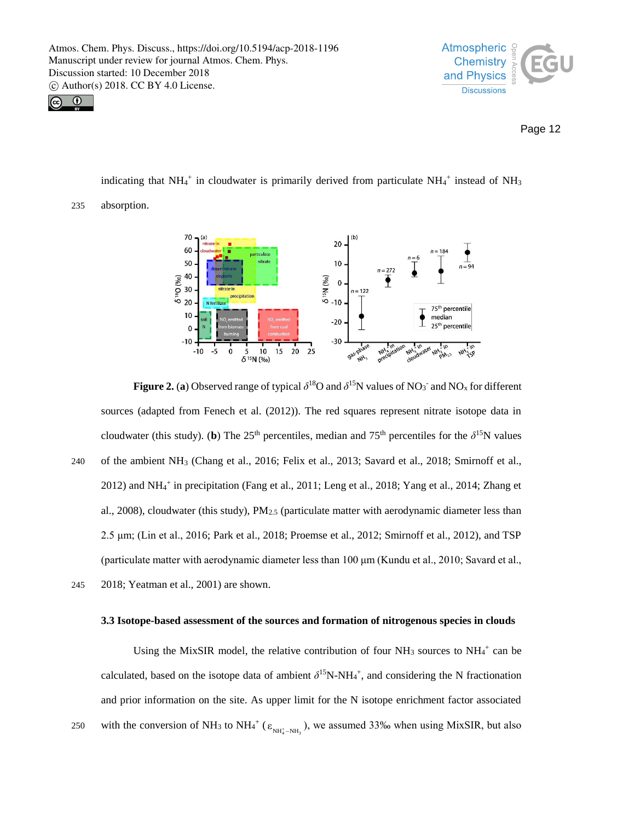



Page 12

indicating that NH<sub>4</sub><sup>+</sup> in cloudwater is primarily derived from particulate NH<sub>4</sub><sup>+</sup> instead of NH<sub>3</sub>

#### 235 absorption.



**Figure 2. (a) Observed range of typical**  $\delta^{18}$ **O and**  $\delta^{15}$ **N values of NO<sub>3</sub><sup>-</sup> and NO<sub>x</sub> for different** sources (adapted from Fenech et al. (2012)). The red squares represent nitrate isotope data in cloudwater (this study). (**b**) The 25<sup>th</sup> percentiles, median and 75<sup>th</sup> percentiles for the  $\delta^{15}N$  values 240 of the ambient NH<sup>3</sup> (Chang et al., 2016; Felix et al., 2013; Savard et al., 2018; Smirnoff et al., 2012) and NH<sup>4</sup> + in precipitation (Fang et al., 2011; Leng et al., 2018; Yang et al., 2014; Zhang et al., 2008), cloudwater (this study),  $PM_{2.5}$  (particulate matter with aerodynamic diameter less than 2.5 μm; (Lin et al., 2016; Park et al., 2018; Proemse et al., 2012; Smirnoff et al., 2012), and TSP (particulate matter with aerodynamic diameter less than 100 μm (Kundu et al., 2010; Savard et al., 245 2018; Yeatman et al., 2001) are shown.

# **3.3 Isotope-based assessment of the sources and formation of nitrogenous species in clouds**

Using the MixSIR model, the relative contribution of four  $NH<sub>3</sub>$  sources to  $NH<sub>4</sub><sup>+</sup>$  can be calculated, based on the isotope data of ambient  $\delta^{15}N-NH_4^+$ , and considering the N fractionation and prior information on the site. As upper limit for the N isotope enrichment factor associated 250 with the conversion of NH<sub>3</sub> to NH<sub>4</sub><sup>+</sup> ( $\varepsilon_{NH_4^+ - NH_3}$ ), we assumed 33‰ when using MixSIR, but also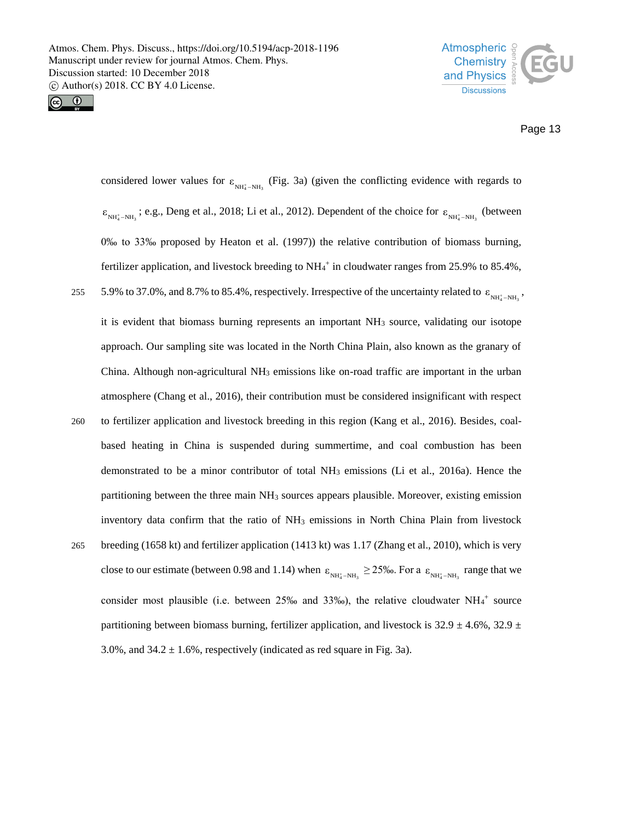



Page 13

considered lower values for  $\varepsilon_{NH_4^* - NH_3}$  (Fig. 3a) (given the conflicting evidence with regards to  $\varepsilon_{NH_4^* - NH_3}$ ; e.g., Deng et al., 2018; Li et al., 2012). Dependent of the choice for  $\varepsilon_{NH_4^* - NH_3}$  (between 0‰ to 33‰ proposed by Heaton et al. (1997)) the relative contribution of biomass burning, fertilizer application, and livestock breeding to  $NH_4^+$  in cloudwater ranges from 25.9% to 85.4%, 255 5.9% to 37.0%, and 8.7% to 85.4%, respectively. Irrespective of the uncertainty related to  $\varepsilon_{NH_4^* - NH_3}$ , it is evident that biomass burning represents an important NH<sub>3</sub> source, validating our isotope approach. Our sampling site was located in the North China Plain, also known as the granary of China. Although non-agricultural  $NH_3$  emissions like on-road traffic are important in the urban atmosphere (Chang et al., 2016), their contribution must be considered insignificant with respect 260 to fertilizer application and livestock breeding in this region (Kang et al., 2016). Besides, coalbased heating in China is suspended during summertime, and coal combustion has been demonstrated to be a minor contributor of total NH<sup>3</sup> emissions (Li et al., 2016a). Hence the partitioning between the three main NH<sup>3</sup> sources appears plausible. Moreover, existing emission inventory data confirm that the ratio of NH<sup>3</sup> emissions in North China Plain from livestock 265 breeding (1658 kt) and fertilizer application (1413 kt) was 1.17 (Zhang et al., 2010), which is very close to our estimate (between 0.98 and 1.14) when  $\varepsilon_{NH_4^+ - NH_3} \ge 25\%$ . For a  $\varepsilon_{NH_4^+ - NH_3}$  range that we consider most plausible (i.e. between  $25\%$  and  $33\%$ ), the relative cloudwater NH<sub>4</sub><sup>+</sup> source partitioning between biomass burning, fertilizer application, and livestock is 32.9  $\pm$ 4.6%, 32.9  $\pm$ 3.0%, and  $34.2 \pm 1.6$ %, respectively (indicated as red square in Fig. 3a).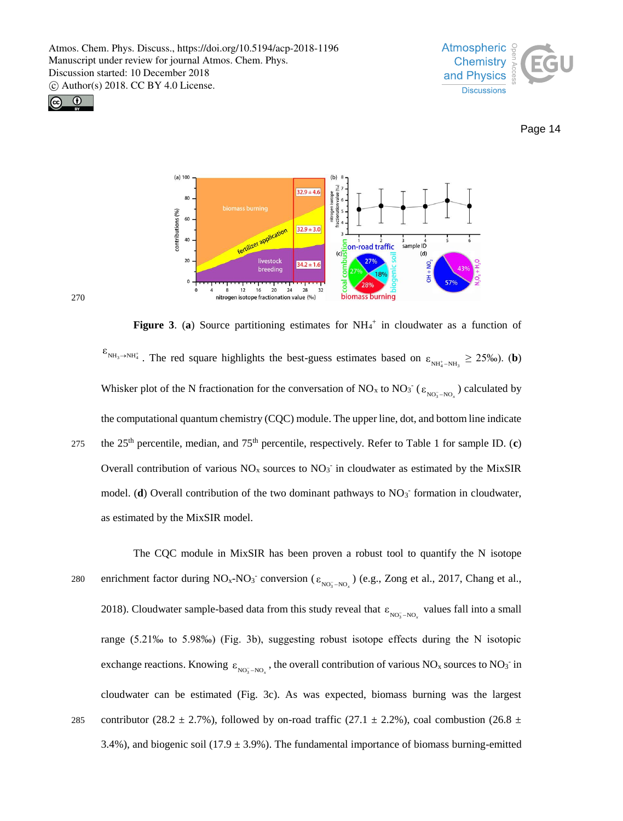



270

# Page 14



**Figure 3.** (a) Source partitioning estimates for  $NH_4$ <sup>+</sup> in cloudwater as a function of  $\epsilon_{NH_3 \to NH_4^+}$ . The red square highlights the best-guess estimates based on  $\epsilon_{NH_4^+ \to NH_3} \ge 25\%$ <sub>0</sub>). (**b**) Whisker plot of the N fractionation for the conversation of NO<sub>x</sub> to NO<sub>3</sub><sup>-</sup> ( $\varepsilon_{_{NO_3^--NO_x}}$ ) calculated by the computational quantum chemistry (CQC) module. The upper line, dot, and bottom line indicate the 25th percentile, median, and 75th 275 percentile, respectively. Refer to Table 1 for sample ID. (**c**) Overall contribution of various  $NO<sub>x</sub>$  sources to  $NO<sub>3</sub>$  in cloudwater as estimated by the MixSIR model. (d) Overall contribution of the two dominant pathways to NO<sub>3</sub><sup>-</sup> formation in cloudwater, as estimated by the MixSIR model.

The CQC module in MixSIR has been proven a robust tool to quantify the N isotope 280 enrichment factor during  $NO_x-NO_3$ <sup>-</sup> conversion ( $\epsilon_{NO_3^--NO_x}$ ) (e.g., Zong et al., 2017, Chang et al., 2018). Cloudwater sample-based data from this study reveal that  $\varepsilon_{NO_3^- - NO_x}$  values fall into a small *x* range (5.21‰ to 5.98‰) (Fig. 3b), suggesting robust isotope effects during the N isotopic exchange reactions. Knowing  $\varepsilon_{NO_3^- - NO_x}$ , the overall contribution of various NO<sub>x</sub> sources to NO<sub>3</sub> in cloudwater can be estimated (Fig. 3c). As was expected, biomass burning was the largest 285 contributor (28.2  $\pm$  2.7%), followed by on-road traffic (27.1  $\pm$  2.2%), coal combustion (26.8  $\pm$ 3.4%), and biogenic soil (17.9  $\pm$  3.9%). The fundamental importance of biomass burning-emitted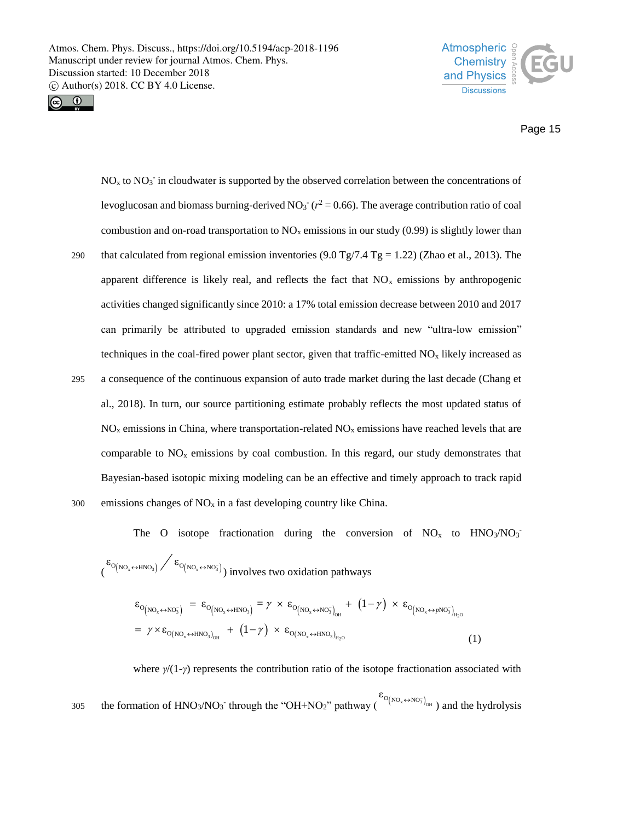



Page 15

 $NO<sub>x</sub>$  to  $NO<sub>3</sub>$  in cloudwater is supported by the observed correlation between the concentrations of levoglucosan and biomass burning-derived  $NO<sub>3</sub><sup>-</sup> (r<sup>2</sup> = 0.66)$ . The average contribution ratio of coal combustion and on-road transportation to  $NO<sub>x</sub>$  emissions in our study (0.99) is slightly lower than 290 that calculated from regional emission inventories  $(9.0 \text{ Tg}/7.4 \text{ Tg} = 1.22)$  (Zhao et al., 2013). The apparent difference is likely real, and reflects the fact that  $NO<sub>x</sub>$  emissions by anthropogenic activities changed significantly since 2010: a 17% total emission decrease between 2010 and 2017 can primarily be attributed to upgraded emission standards and new "ultra-low emission" techniques in the coal-fired power plant sector, given that traffic-emitted  $NO<sub>x</sub>$  likely increased as 295 a consequence of the continuous expansion of auto trade market during the last decade (Chang et al., 2018). In turn, our source partitioning estimate probably reflects the most updated status of  $NO<sub>x</sub>$  emissions in China, where transportation-related  $NO<sub>x</sub>$  emissions have reached levels that are comparable to  $NO<sub>x</sub>$  emissions by coal combustion. In this regard, our study demonstrates that Bayesian-based isotopic mixing modeling can be an effective and timely approach to track rapid

300 emissions changes of  $NO<sub>x</sub>$  in a fast developing country like China.

The O isotope fractionation during the conversion of  $NO<sub>x</sub>$  to  $HNO<sub>3</sub>/NO<sub>3</sub>$ 

 $(\epsilon^{c_0(N_{O_x} \leftrightarrow N_{O_3})} / \epsilon^{c_0(N_{O_x} \leftrightarrow N_{O_3})})$  involves two oxidation pathways

$$
\varepsilon_{O(NO_x \leftrightarrow NO_3^-)} = \varepsilon_{O(NO_x \leftrightarrow HNO_3)} = \gamma \times \varepsilon_{O(NO_x \leftrightarrow NO_3^-)_{OH}} + (1 - \gamma) \times \varepsilon_{O(NO_x \leftrightarrow pNO_3^-)_{H_2O}}
$$
  
=  $\gamma \times \varepsilon_{O(NO_x \leftrightarrow HNO_3)_{OH}} + (1 - \gamma) \times \varepsilon_{O(NO_x \leftrightarrow HNO_3)_{H_2O}}$  (1)

where *γ*/(1-*γ*) represents the contribution ratio of the isotope fractionation associated with 305 the formation of HNO<sub>3</sub>/NO<sub>3</sub> through the "OH+NO<sub>2</sub>" pathway ( ${}^{\epsilon_{O\left(NO_x \leftrightarrow NO_3\right)_{OH}}}$ ) and the hydrolysis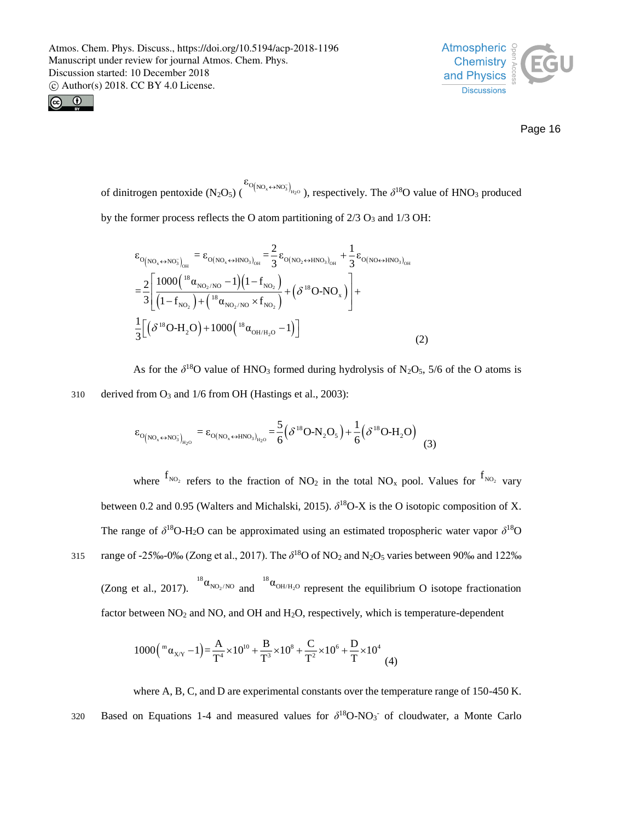



Page 16

of dinitrogen pentoxide  $(N_2O_5)$  (  $e_{O(NO_x \leftrightarrow NO_3^-)_{H_2O}}$ ), respectively. The  $\delta^{18}O$  value of HNO<sub>3</sub> produced

by the former process reflects the O atom partitioning of  $2/3$  O<sub>3</sub> and  $1/3$  OH:

$$
\varepsilon_{O_{(NO_x \leftrightarrow NO_3^-)_{OH}}} = \varepsilon_{O(NO_x \leftrightarrow HNO_3)_{OH}} = \frac{2}{3} \varepsilon_{O(NO_2 \leftrightarrow HNO_3)_{OH}} + \frac{1}{3} \varepsilon_{O(NO \leftrightarrow HNO_3)_{OH}}
$$
  
=\frac{2}{3} \left[ \frac{1000(^{18} \alpha\_{NO\_2/NO} - 1)(1 - f\_{NO\_2})}{(1 - f\_{NO\_2}) + (^{18} \alpha\_{NO\_2/NO} \times f\_{NO\_2})} + (\delta^{18} O-NO\_x) \right] +  

$$
\frac{1}{3} \left[ (\delta^{18} O-H_2 O) + 1000(^{18} \alpha_{OH/H_2O} - 1) \right]
$$
(2)

As for the  $\delta^{18}$ O value of HNO<sub>3</sub> formed during hydrolysis of N<sub>2</sub>O<sub>5</sub>, 5/6 of the O atoms is 310 derived from O<sup>3</sup> and 1/6 from OH (Hastings et al., 2003):

$$
\epsilon_{O(NO_x \leftrightarrow NO_3)_{H_2O}} = \epsilon_{O(NO_x \leftrightarrow HNO_3)_{H_2O}} = \frac{5}{6} (\delta^{18}O - N_2O_5) + \frac{1}{6} (\delta^{18}O - H_2O) \tag{3}
$$

where  $f_{NO_2}$  refers to the fraction of NO<sub>2</sub> in the total NO<sub>x</sub> pool. Values for  $f_{NO_2}$  vary between 0.2 and 0.95 (Walters and Michalski, 2015).  $\delta^{18}$ O-X is the O isotopic composition of X. The range of  $\delta^{18}O$ -H<sub>2</sub>O can be approximated using an estimated tropospheric water vapor  $\delta^{18}O$ 315 range of -25‰-0‰ (Zong et al., 2017). The  $\delta^{18}O$  of NO<sub>2</sub> and N<sub>2</sub>O<sub>5</sub> varies between 90‰ and 122‰

(Zong et al., 2017). <sup>18</sup> $\alpha_{NO_2/NO}$  and <sup>18</sup> $\alpha_{OH/H_2O}$  represent the equilibrium O isotope fractionation factor between NO<sup>2</sup> and NO, and OH and H2O, respectively, which is temperature-dependent

$$
1000(^{\mathrm{m}}\alpha_{\mathrm{XY}}-1) = \frac{A}{T^4} \times 10^{10} + \frac{B}{T^3} \times 10^8 + \frac{C}{T^2} \times 10^6 + \frac{D}{T} \times 10^4 \tag{4}
$$

where A, B, C, and D are experimental constants over the temperature range of 150-450 K. 320 Based on Equations 1-4 and measured values for  $\delta^{18}O-NO_3$  of cloudwater, a Monte Carlo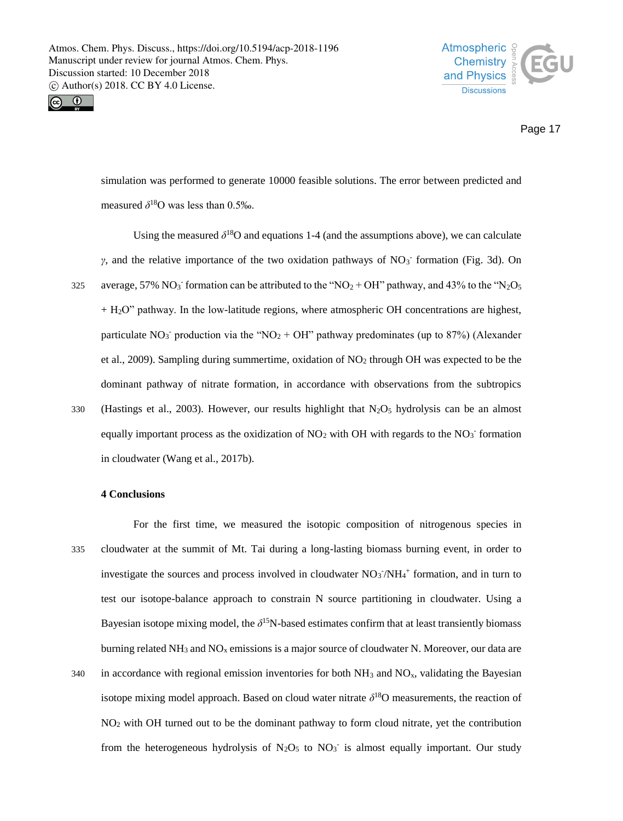



Page 17

simulation was performed to generate 10000 feasible solutions. The error between predicted and measured  $\delta^{18}$ O was less than 0.5‰.

Using the measured  $\delta^{18}O$  and equations 1-4 (and the assumptions above), we can calculate *γ*, and the relative importance of the two oxidation pathways of NO<sub>3</sub><sup>-</sup> formation (Fig. 3d). On 325 average, 57% NO<sub>3</sub> formation can be attributed to the "NO<sub>2</sub> + OH" pathway, and 43% to the "N<sub>2</sub>O<sub>5</sub>  $+ H<sub>2</sub>O$ " pathway. In the low-latitude regions, where atmospheric OH concentrations are highest, particulate NO<sub>3</sub><sup>-</sup> production via the "NO<sub>2</sub> + OH" pathway predominates (up to 87%) (Alexander et al., 2009). Sampling during summertime, oxidation of NO<sup>2</sup> through OH was expected to be the dominant pathway of nitrate formation, in accordance with observations from the subtropics 330 (Hastings et al., 2003). However, our results highlight that  $N_2O_5$  hydrolysis can be an almost equally important process as the oxidization of  $NO<sub>2</sub>$  with OH with regards to the  $NO<sub>3</sub>$ <sup>-</sup> formation

in cloudwater (Wang et al., 2017b).

#### **4 Conclusions**

For the first time, we measured the isotopic composition of nitrogenous species in 335 cloudwater at the summit of Mt. Tai during a long-lasting biomass burning event, in order to investigate the sources and process involved in cloudwater NO<sub>3</sub><sup>-</sup>/NH<sub>4</sub><sup>+</sup> formation, and in turn to test our isotope-balance approach to constrain N source partitioning in cloudwater. Using a Bayesian isotope mixing model, the  $\delta$ <sup>15</sup>N-based estimates confirm that at least transiently biomass burning related  $NH<sub>3</sub>$  and  $NO<sub>x</sub>$  emissions is a major source of cloudwater N. Moreover, our data are 340 in accordance with regional emission inventories for both  $NH_3$  and  $NO_x$ , validating the Bayesian isotope mixing model approach. Based on cloud water nitrate  $\delta^{18}O$  measurements, the reaction of NO<sup>2</sup> with OH turned out to be the dominant pathway to form cloud nitrate, yet the contribution from the heterogeneous hydrolysis of  $N_2O_5$  to  $NO_3$  is almost equally important. Our study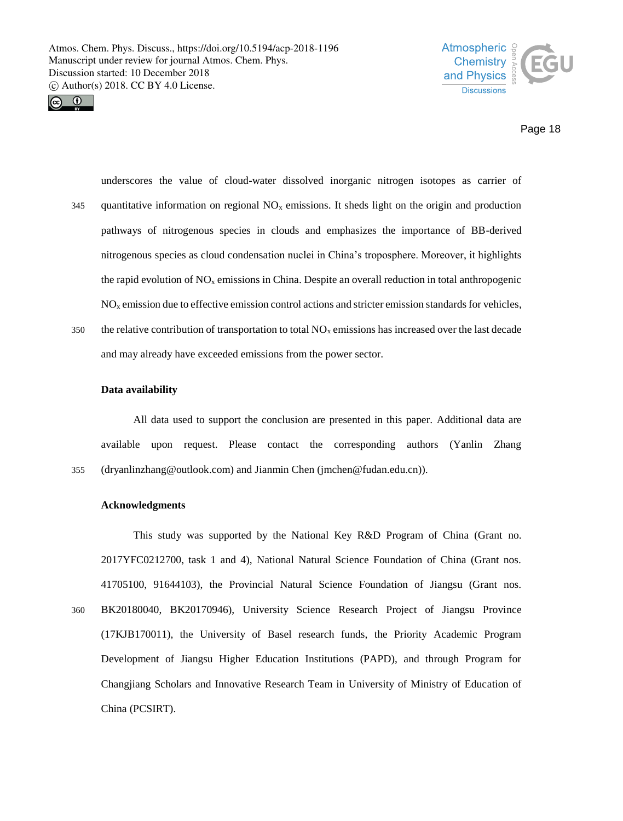



Page 18

- underscores the value of cloud-water dissolved inorganic nitrogen isotopes as carrier of 345 quantitative information on regional  $NO<sub>x</sub>$  emissions. It sheds light on the origin and production pathways of nitrogenous species in clouds and emphasizes the importance of BB-derived nitrogenous species as cloud condensation nuclei in China's troposphere. Moreover, it highlights the rapid evolution of  $NO<sub>x</sub>$  emissions in China. Despite an overall reduction in total anthropogenic  $NO<sub>x</sub>$  emission due to effective emission control actions and stricter emission standards for vehicles,
- 350 the relative contribution of transportation to total  $NO<sub>x</sub>$  emissions has increased over the last decade and may already have exceeded emissions from the power sector.

#### **Data availability**

All data used to support the conclusion are presented in this paper. Additional data are available upon request. Please contact the corresponding authors (Yanlin Zhang 355 (dryanlinzhang@outlook.com) and Jianmin Chen (jmchen@fudan.edu.cn)).

#### **Acknowledgments**

This study was supported by the National Key R&D Program of China (Grant no. 2017YFC0212700, task 1 and 4), National Natural Science Foundation of China (Grant nos. 41705100, 91644103), the Provincial Natural Science Foundation of Jiangsu (Grant nos.

360 BK20180040, BK20170946), University Science Research Project of Jiangsu Province (17KJB170011), the University of Basel research funds, the Priority Academic Program Development of Jiangsu Higher Education Institutions (PAPD), and through Program for Changjiang Scholars and Innovative Research Team in University of Ministry of Education of China (PCSIRT).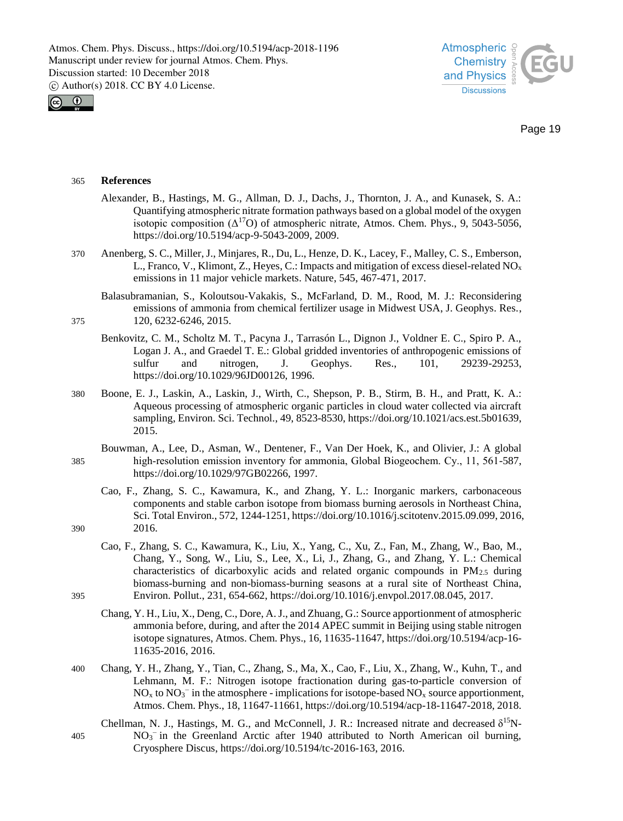



Page 19

#### 365 **References**

- Alexander, B., Hastings, M. G., Allman, D. J., Dachs, J., Thornton, J. A., and Kunasek, S. A.: Quantifying atmospheric nitrate formation pathways based on a global model of the oxygen isotopic composition  $(\Delta^{17}O)$  of atmospheric nitrate, Atmos. Chem. Phys., 9, 5043-5056, https://doi.org/10.5194/acp-9-5043-2009, 2009.
- 370 Anenberg, S. C., Miller, J., Minjares, R., Du, L., Henze, D. K., Lacey, F., Malley, C. S., Emberson, L., Franco, V., Klimont, Z., Heyes, C.: Impacts and mitigation of excess diesel-related  $NO<sub>x</sub>$ emissions in 11 major vehicle markets. Nature, 545, 467-471, 2017.
- Balasubramanian, S., Koloutsou-Vakakis, S., McFarland, D. M., Rood, M. J.: Reconsidering emissions of ammonia from chemical fertilizer usage in Midwest USA, J. Geophys. Res., 375 120, 6232-6246, 2015.
	- Benkovitz, C. M., Scholtz M. T., Pacyna J., Tarrasón L., Dignon J., Voldner E. C., Spiro P. A., Logan J. A., and Graedel T. E.: Global gridded inventories of anthropogenic emissions of sulfur and nitrogen, J. Geophys. Res., 101, 29239-29253, https://doi.org/10.1029/96JD00126, 1996.
- 380 Boone, E. J., Laskin, A., Laskin, J., Wirth, C., Shepson, P. B., Stirm, B. H., and Pratt, K. A.: Aqueous processing of atmospheric organic particles in cloud water collected via aircraft sampling, Environ. Sci. Technol., 49, 8523-8530, https://doi.org/10.1021/acs.est.5b01639, 2015.
- Bouwman, A., Lee, D., Asman, W., Dentener, F., Van Der Hoek, K., and Olivier, J.: A global 385 high‐resolution emission inventory for ammonia, Global Biogeochem. Cy., 11, 561-587, https://doi.org/10.1029/97GB02266, 1997.
- Cao, F., Zhang, S. C., Kawamura, K., and Zhang, Y. L.: Inorganic markers, carbonaceous components and stable carbon isotope from biomass burning aerosols in Northeast China, Sci. Total Environ., 572, 1244-1251, https://doi.org/10.1016/j.scitotenv.2015.09.099, 2016, 390 2016.
- Cao, F., Zhang, S. C., Kawamura, K., Liu, X., Yang, C., Xu, Z., Fan, M., Zhang, W., Bao, M., Chang, Y., Song, W., Liu, S., Lee, X., Li, J., Zhang, G., and Zhang, Y. L.: Chemical characteristics of dicarboxylic acids and related organic compounds in  $PM_{2.5}$  during biomass-burning and non-biomass-burning seasons at a rural site of Northeast China, 395 Environ. Pollut., 231, 654-662, https://doi.org/10.1016/j.envpol.2017.08.045, 2017.
	- Chang, Y. H., Liu, X., Deng, C., Dore, A. J., and Zhuang, G.: Source apportionment of atmospheric ammonia before, during, and after the 2014 APEC summit in Beijing using stable nitrogen isotope signatures, Atmos. Chem. Phys., 16, 11635-11647, https://doi.org/10.5194/acp-16- 11635-2016, 2016.
- 400 Chang, Y. H., Zhang, Y., Tian, C., Zhang, S., Ma, X., Cao, F., Liu, X., Zhang, W., Kuhn, T., and Lehmann, M. F.: Nitrogen isotope fractionation during gas-to-particle conversion of  $NO<sub>x</sub>$  to  $NO<sub>3</sub><sup>-</sup>$  in the atmosphere - implications for isotope-based  $NO<sub>x</sub>$  source apportionment, Atmos. Chem. Phys., 18, 11647-11661, https://doi.org/10.5194/acp-18-11647-2018, 2018.
- Chellman, N. J., Hastings, M. G., and McConnell, J. R.: Increased nitrate and decreased δ<sup>15</sup>N- $405$  NO<sub>3</sub><sup>-</sup> in the Greenland Arctic after 1940 attributed to North American oil burning, Cryosphere Discus, https://doi.org/10.5194/tc-2016-163, 2016.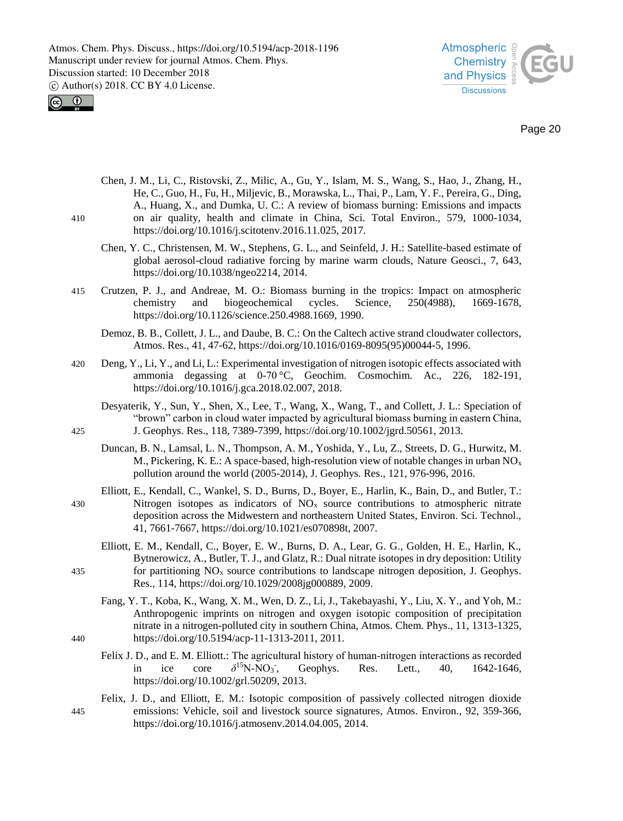

 $\odot$ 

- Chen, J. M., Li, C., Ristovski, Z., Milic, A., Gu, Y., Islam, M. S., Wang, S., Hao, J., Zhang, H., He, C., Guo, H., Fu, H., Miljevic, B., Morawska, L., Thai, P., Lam, Y. F., Pereira, G., Ding, A., Huang, X., and Dumka, U. C.: A review of biomass burning: Emissions and impacts 410 on air quality, health and climate in China, Sci. Total Environ., 579, 1000-1034, https://doi.org/10.1016/j.scitotenv.2016.11.025, 2017.
	- Chen, Y. C., Christensen, M. W., Stephens, G. L., and Seinfeld, J. H.: Satellite-based estimate of global aerosol-cloud radiative forcing by marine warm clouds, Nature Geosci., 7, 643, https://doi.org/10.1038/ngeo2214, 2014.
- 415 Crutzen, P. J., and Andreae, M. O.: Biomass burning in the tropics: Impact on atmospheric chemistry and biogeochemical cycles. Science, 250(4988), 1669-1678, https://doi.org/10.1126/science.250.4988.1669, 1990.
	- Demoz, B. B., Collett, J. L., and Daube, B. C.: On the Caltech active strand cloudwater collectors, Atmos. Res., 41, 47-62, https://doi.org/10.1016/0169-8095(95)00044-5, 1996.
- 420 Deng, Y., Li, Y., and Li, L.: Experimental investigation of nitrogen isotopic effects associated with ammonia degassing at 0-70 °C, Geochim. Cosmochim. Ac., 226, 182-191, https://doi.org/10.1016/j.gca.2018.02.007, 2018.
- Desyaterik, Y., Sun, Y., Shen, X., Lee, T., Wang, X., Wang, T., and Collett, J. L.: Speciation of "brown" carbon in cloud water impacted by agricultural biomass burning in eastern China, 425 J. Geophys. Res., 118, 7389-7399, https://doi.org/10.1002/jgrd.50561, 2013.
	- Duncan, B. N., Lamsal, L. N., Thompson, A. M., Yoshida, Y., Lu, Z., Streets, D. G., Hurwitz, M. M., Pickering, K. E.: A space-based, high-resolution view of notable changes in urban  $NO<sub>x</sub>$ pollution around the world (2005-2014), J. Geophys. Res., 121, 976-996, 2016.
- Elliott, E., Kendall, C., Wankel, S. D., Burns, D., Boyer, E., Harlin, K., Bain, D., and Butler, T.: 430 Nitrogen isotopes as indicators of  $NO<sub>x</sub>$  source contributions to atmospheric nitrate deposition across the Midwestern and northeastern United States, Environ. Sci. Technol., 41, 7661-7667, https://doi.org/10.1021/es070898t, 2007.
- Elliott, E. M., Kendall, C., Boyer, E. W., Burns, D. A., Lear, G. G., Golden, H. E., Harlin, K., Bytnerowicz, A., Butler, T. J., and Glatz, R.: Dual nitrate isotopes in dry deposition: Utility 435 for partitioning  $NO<sub>x</sub>$  source contributions to landscape nitrogen deposition, J. Geophys. Res., 114, https://doi.org/10.1029/2008jg000889, 2009.
- Fang, Y. T., Koba, K., Wang, X. M., Wen, D. Z., Li, J., Takebayashi, Y., Liu, X. Y., and Yoh, M.: Anthropogenic imprints on nitrogen and oxygen isotopic composition of precipitation nitrate in a nitrogen-polluted city in southern China, Atmos. Chem. Phys., 11, 1313-1325, 440 https://doi.org/10.5194/acp-11-1313-2011, 2011.
	- Felix J. D., and E. M. Elliott.: The agricultural history of human-nitrogen interactions as recorded in ice core  $15N-NO_3$ Geophys. Res. Lett., 40, 1642-1646, https://doi.org/10.1002/grl.50209, 2013.
- Felix, J. D., and Elliott, E. M.: Isotopic composition of passively collected nitrogen dioxide 445 emissions: Vehicle, soil and livestock source signatures, Atmos. Environ., 92, 359-366, https://doi.org/10.1016/j.atmosenv.2014.04.005, 2014.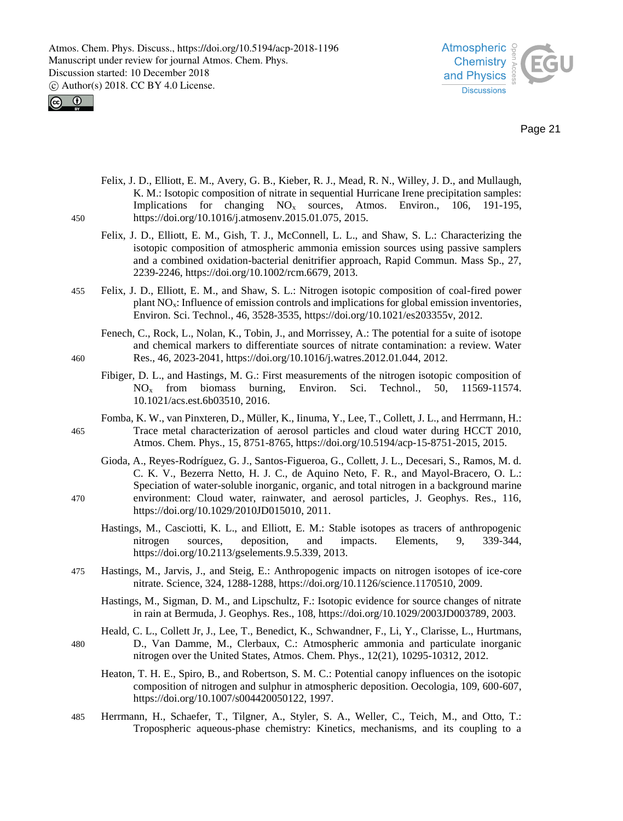



- Felix, J. D., Elliott, E. M., Avery, G. B., Kieber, R. J., Mead, R. N., Willey, J. D., and Mullaugh, K. M.: Isotopic composition of nitrate in sequential Hurricane Irene precipitation samples: Implications for changing  $NO<sub>x</sub>$  sources, Atmos. Environ., 106, 191-195, 450 https://doi.org/10.1016/j.atmosenv.2015.01.075, 2015.
	- Felix, J. D., Elliott, E. M., Gish, T. J., McConnell, L. L., and Shaw, S. L.: Characterizing the isotopic composition of atmospheric ammonia emission sources using passive samplers and a combined oxidation-bacterial denitrifier approach, Rapid Commun. Mass Sp., 27, 2239-2246, https://doi.org/10.1002/rcm.6679, 2013.
- 455 Felix, J. D., Elliott, E. M., and Shaw, S. L.: Nitrogen isotopic composition of coal-fired power plant  $NO<sub>x</sub>$ : Influence of emission controls and implications for global emission inventories, Environ. Sci. Technol., 46, 3528-3535, https://doi.org/10.1021/es203355v, 2012.
- Fenech, C., Rock, L., Nolan, K., Tobin, J., and Morrissey, A.: The potential for a suite of isotope and chemical markers to differentiate sources of nitrate contamination: a review. Water 460 Res., 46, 2023-2041, https://doi.org/10.1016/j.watres.2012.01.044, 2012.
	- Fibiger, D. L., and Hastings, M. G.: First measurements of the nitrogen isotopic composition of NO<sup>x</sup> from biomass burning, Environ. Sci. Technol., 50, 11569-11574. 10.1021/acs.est.6b03510, 2016.
- Fomba, K. W., van Pinxteren, D., Müller, K., Iinuma, Y., Lee, T., Collett, J. L., and Herrmann, H.: 465 Trace metal characterization of aerosol particles and cloud water during HCCT 2010, Atmos. Chem. Phys., 15, 8751-8765, https://doi.org/10.5194/acp-15-8751-2015, 2015.
- Gioda, A., Reyes-Rodríguez, G. J., Santos-Figueroa, G., Collett, J. L., Decesari, S., Ramos, M. d. C. K. V., Bezerra Netto, H. J. C., de Aquino Neto, F. R., and Mayol-Bracero, O. L.: Speciation of water-soluble inorganic, organic, and total nitrogen in a background marine 470 environment: Cloud water, rainwater, and aerosol particles, J. Geophys. Res., 116, https://doi.org/10.1029/2010JD015010, 2011.
	- Hastings, M., Casciotti, K. L., and Elliott, E. M.: Stable isotopes as tracers of anthropogenic nitrogen sources, deposition, and impacts. Elements, 9, 339-344, https://doi.org/10.2113/gselements.9.5.339, 2013.
- 475 Hastings, M., Jarvis, J., and Steig, E.: Anthropogenic impacts on nitrogen isotopes of ice-core nitrate. Science, 324, 1288-1288, https://doi.org/10.1126/science.1170510, 2009.
	- Hastings, M., Sigman, D. M., and Lipschultz, F.: Isotopic evidence for source changes of nitrate in rain at Bermuda, J. Geophys. Res., 108, https://doi.org/10.1029/2003JD003789, 2003.
- Heald, C. L., Collett Jr, J., Lee, T., Benedict, K., Schwandner, F., Li, Y., Clarisse, L., Hurtmans, 480 D., Van Damme, M., Clerbaux, C.: Atmospheric ammonia and particulate inorganic nitrogen over the United States, Atmos. Chem. Phys., 12(21), 10295-10312, 2012.
	- Heaton, T. H. E., Spiro, B., and Robertson, S. M. C.: Potential canopy influences on the isotopic composition of nitrogen and sulphur in atmospheric deposition. Oecologia, 109, 600-607, https://doi.org/10.1007/s004420050122, 1997.
- 485 Herrmann, H., Schaefer, T., Tilgner, A., Styler, S. A., Weller, C., Teich, M., and Otto, T.: Tropospheric aqueous-phase chemistry: Kinetics, mechanisms, and its coupling to a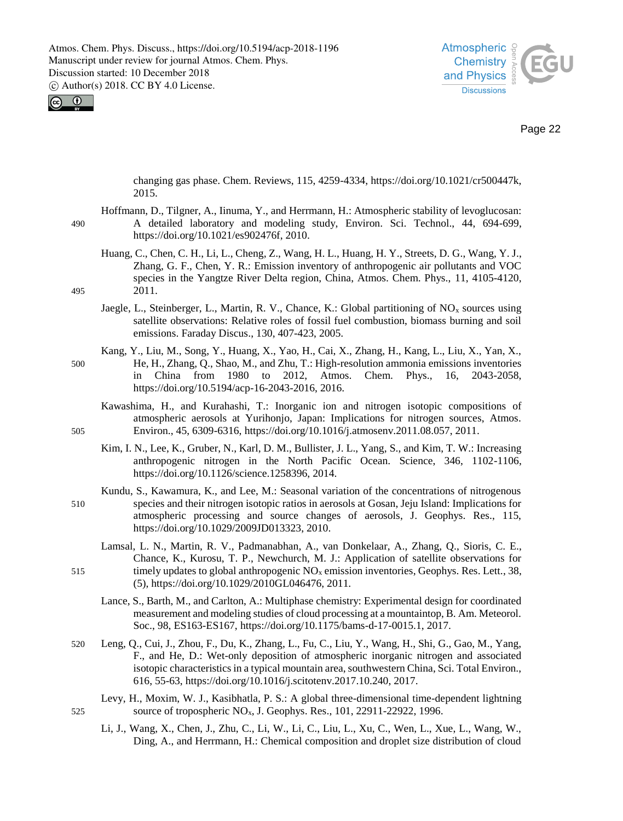

 $\odot$ 

Page 22

changing gas phase. Chem. Reviews, 115, 4259-4334, https://doi.org/10.1021/cr500447k, 2015.

- Hoffmann, D., Tilgner, A., Iinuma, Y., and Herrmann, H.: Atmospheric stability of levoglucosan: 490 A detailed laboratory and modeling study, Environ. Sci. Technol., 44, 694-699, https://doi.org/10.1021/es902476f, 2010.
- Huang, C., Chen, C. H., Li, L., Cheng, Z., Wang, H. L., Huang, H. Y., Streets, D. G., Wang, Y. J., Zhang, G. F., Chen, Y. R.: Emission inventory of anthropogenic air pollutants and VOC species in the Yangtze River Delta region, China, Atmos. Chem. Phys., 11, 4105-4120, 495 2011.
	- Jaegle, L., Steinberger, L., Martin, R. V., Chance, K.: Global partitioning of  $NO<sub>x</sub>$  sources using satellite observations: Relative roles of fossil fuel combustion, biomass burning and soil emissions. Faraday Discus., 130, 407-423, 2005.
- Kang, Y., Liu, M., Song, Y., Huang, X., Yao, H., Cai, X., Zhang, H., Kang, L., Liu, X., Yan, X., 500 He, H., Zhang, Q., Shao, M., and Zhu, T.: High-resolution ammonia emissions inventories in China from 1980 to 2012, Atmos. Chem. Phys., 16, 2043-2058, https://doi.org/10.5194/acp-16-2043-2016, 2016.
- Kawashima, H., and Kurahashi, T.: Inorganic ion and nitrogen isotopic compositions of atmospheric aerosols at Yurihonjo, Japan: Implications for nitrogen sources, Atmos. 505 Environ., 45, 6309-6316, https://doi.org/10.1016/j.atmosenv.2011.08.057, 2011.
	- Kim, I. N., Lee, K., Gruber, N., Karl, D. M., Bullister, J. L., Yang, S., and Kim, T. W.: Increasing anthropogenic nitrogen in the North Pacific Ocean. Science, 346, 1102-1106, https://doi.org/10.1126/science.1258396, 2014.
- Kundu, S., Kawamura, K., and Lee, M.: Seasonal variation of the concentrations of nitrogenous 510 species and their nitrogen isotopic ratios in aerosols at Gosan, Jeju Island: Implications for atmospheric processing and source changes of aerosols, J. Geophys. Res., 115, https://doi.org/10.1029/2009JD013323, 2010.
- Lamsal, L. N., Martin, R. V., Padmanabhan, A., van Donkelaar, A., Zhang, Q., Sioris, C. E., Chance, K., Kurosu, T. P., Newchurch, M. J.: Application of satellite observations for 515 timely updates to global anthropogenic  $NO<sub>x</sub>$  emission inventories, Geophys. Res. Lett., 38, (5), https://doi.org/10.1029/2010GL046476, 2011.
	- Lance, S., Barth, M., and Carlton, A.: Multiphase chemistry: Experimental design for coordinated measurement and modeling studies of cloud processing at a mountaintop, B. Am. Meteorol. Soc., 98, ES163-ES167, https://doi.org/10.1175/bams-d-17-0015.1, 2017.
- 520 Leng, Q., Cui, J., Zhou, F., Du, K., Zhang, L., Fu, C., Liu, Y., Wang, H., Shi, G., Gao, M., Yang, F., and He, D.: Wet-only deposition of atmospheric inorganic nitrogen and associated isotopic characteristics in a typical mountain area, southwestern China, Sci. Total Environ., 616, 55-63, https://doi.org/10.1016/j.scitotenv.2017.10.240, 2017.
- Levy, H., Moxim, W. J., Kasibhatla, P. S.: A global three-dimensional time-dependent lightning 525 source of tropospheric NOx, J. Geophys. Res., 101, 22911-22922, 1996.
	- Li, J., Wang, X., Chen, J., Zhu, C., Li, W., Li, C., Liu, L., Xu, C., Wen, L., Xue, L., Wang, W., Ding, A., and Herrmann, H.: Chemical composition and droplet size distribution of cloud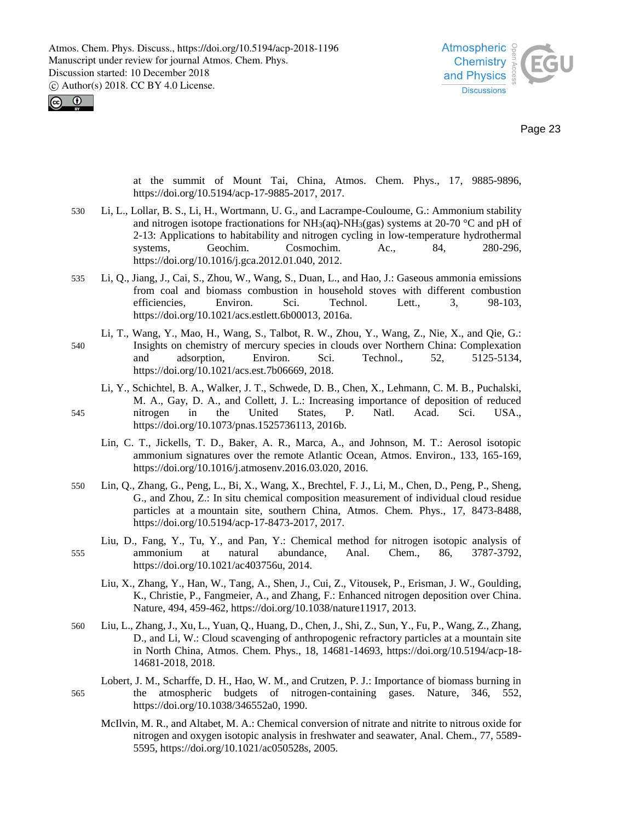



Page 23

at the summit of Mount Tai, China, Atmos. Chem. Phys., 17, 9885-9896, https://doi.org/10.5194/acp-17-9885-2017, 2017.

- 530 Li, L., Lollar, B. S., Li, H., Wortmann, U. G., and Lacrampe-Couloume, G.: Ammonium stability and nitrogen isotope fractionations for  $NH_3(aq)$ -NH<sub>3</sub>(gas) systems at 20-70 °C and pH of 2-13: Applications to habitability and nitrogen cycling in low-temperature hydrothermal systems, Geochim. Cosmochim. Ac., 84, 280-296, https://doi.org/10.1016/j.gca.2012.01.040, 2012.
- 535 Li, Q., Jiang, J., Cai, S., Zhou, W., Wang, S., Duan, L., and Hao, J.: Gaseous ammonia emissions from coal and biomass combustion in household stoves with different combustion efficiencies, Environ. Sci. Technol. Lett., 3, 98-103, https://doi.org/10.1021/acs.estlett.6b00013, 2016a.
- Li, T., Wang, Y., Mao, H., Wang, S., Talbot, R. W., Zhou, Y., Wang, Z., Nie, X., and Qie, G.: 540 Insights on chemistry of mercury species in clouds over Northern China: Complexation and adsorption, Environ. Sci. Technol., 52, 5125-5134, https://doi.org/10.1021/acs.est.7b06669, 2018.
- Li, Y., Schichtel, B. A., Walker, J. T., Schwede, D. B., Chen, X., Lehmann, C. M. B., Puchalski, M. A., Gay, D. A., and Collett, J. L.: Increasing importance of deposition of reduced 545 nitrogen in the United States, P. Natl. Acad. Sci. USA., https://doi.org/10.1073/pnas.1525736113, 2016b.
	- Lin, C. T., Jickells, T. D., Baker, A. R., Marca, A., and Johnson, M. T.: Aerosol isotopic ammonium signatures over the remote Atlantic Ocean, Atmos. Environ., 133, 165-169, https://doi.org/10.1016/j.atmosenv.2016.03.020, 2016.
- 550 Lin, Q., Zhang, G., Peng, L., Bi, X., Wang, X., Brechtel, F. J., Li, M., Chen, D., Peng, P., Sheng, G., and Zhou, Z.: In situ chemical composition measurement of individual cloud residue particles at a mountain site, southern China, Atmos. Chem. Phys., 17, 8473-8488, https://doi.org/10.5194/acp-17-8473-2017, 2017.
- Liu, D., Fang, Y., Tu, Y., and Pan, Y.: Chemical method for nitrogen isotopic analysis of 555 ammonium at natural abundance, Anal. Chem., 86, 3787-3792, https://doi.org/10.1021/ac403756u, 2014.
	- Liu, X., Zhang, Y., Han, W., Tang, A., Shen, J., Cui, Z., Vitousek, P., Erisman, J. W., Goulding, K., Christie, P., Fangmeier, A., and Zhang, F.: Enhanced nitrogen deposition over China. Nature, 494, 459-462, https://doi.org/10.1038/nature11917, 2013.
- 560 Liu, L., Zhang, J., Xu, L., Yuan, Q., Huang, D., Chen, J., Shi, Z., Sun, Y., Fu, P., Wang, Z., Zhang, D., and Li, W.: Cloud scavenging of anthropogenic refractory particles at a mountain site in North China, Atmos. Chem. Phys., 18, 14681-14693, https://doi.org/10.5194/acp-18- 14681-2018, 2018.
- Lobert, J. M., Scharffe, D. H., Hao, W. M., and Crutzen, P. J.: Importance of biomass burning in 565 the atmospheric budgets of nitrogen-containing gases. Nature, 346, 552, https://doi.org/10.1038/346552a0, 1990.
	- McIlvin, M. R., and Altabet, M. A.: Chemical conversion of nitrate and nitrite to nitrous oxide for nitrogen and oxygen isotopic analysis in freshwater and seawater, Anal. Chem., 77, 5589- 5595, https://doi.org/10.1021/ac050528s, 2005.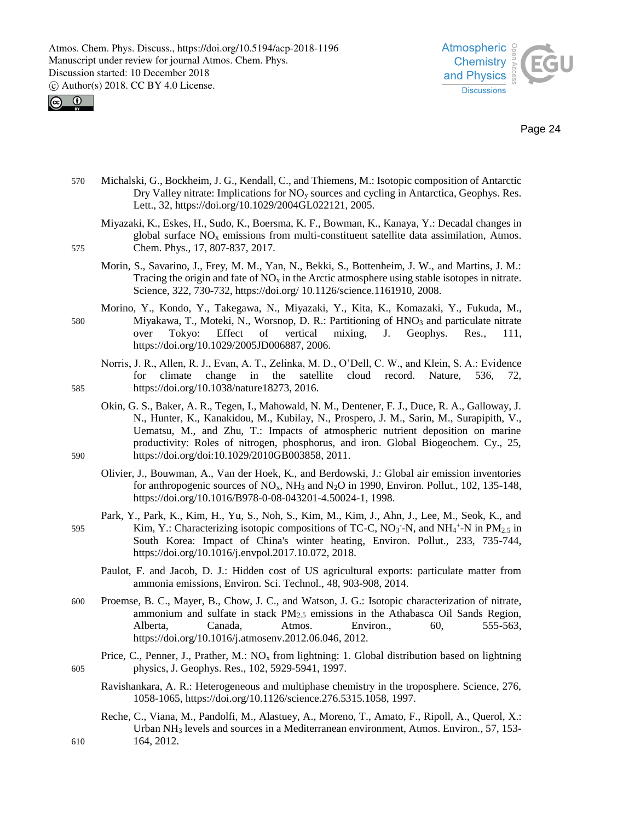



- 570 Michalski, G., Bockheim, J. G., Kendall, C., and Thiemens, M.: Isotopic composition of Antarctic Dry Valley nitrate: Implications for NO<sup>y</sup> sources and cycling in Antarctica, Geophys. Res. Lett., 32, https://doi.org/10.1029/2004GL022121, 2005.
- Miyazaki, K., Eskes, H., Sudo, K., Boersma, K. F., Bowman, K., Kanaya, Y.: Decadal changes in global surface  $NO<sub>x</sub>$  emissions from multi-constituent satellite data assimilation, Atmos. 575 Chem. Phys., 17, 807-837, 2017.
	- Morin, S., Savarino, J., Frey, M. M., Yan, N., Bekki, S., Bottenheim, J. W., and Martins, J. M.: Tracing the origin and fate of  $NO<sub>x</sub>$  in the Arctic atmosphere using stable isotopes in nitrate. Science, 322, 730-732, https://doi.org/ 10.1126/science.1161910, 2008.
- Morino, Y., Kondo, Y., Takegawa, N., Miyazaki, Y., Kita, K., Komazaki, Y., Fukuda, M., 580 Miyakawa, T., Moteki, N., Worsnop, D. R.: Partitioning of HNO<sup>3</sup> and particulate nitrate over Tokyo: Effect of vertical mixing, J. Geophys. Res., 111, https://doi.org/10.1029/2005JD006887, 2006.
- Norris, J. R., Allen, R. J., Evan, A. T., Zelinka, M. D., O'Dell, C. W., and Klein, S. A.: Evidence for climate change in the satellite cloud record. Nature, 536, 72, 585 https://doi.org/10.1038/nature18273, 2016.
- Okin, G. S., Baker, A. R., Tegen, I., Mahowald, N. M., Dentener, F. J., Duce, R. A., Galloway, J. N., Hunter, K., Kanakidou, M., Kubilay, N., Prospero, J. M., Sarin, M., Surapipith, V., Uematsu, M., and Zhu, T.: Impacts of atmospheric nutrient deposition on marine productivity: Roles of nitrogen, phosphorus, and iron. Global Biogeochem. Cy., 25, 590 https://doi.org/doi:10.1029/2010GB003858, 2011.
	- Olivier, J., Bouwman, A., Van der Hoek, K., and Berdowski, J.: Global air emission inventories for anthropogenic sources of  $NO<sub>x</sub>$ ,  $NH<sub>3</sub>$  and  $N<sub>2</sub>O$  in 1990, Environ. Pollut., 102, 135-148, https://doi.org/10.1016/B978-0-08-043201-4.50024-1, 1998.
- Park, Y., Park, K., Kim, H., Yu, S., Noh, S., Kim, M., Kim, J., Ahn, J., Lee, M., Seok, K., and 595 Kim, Y.: Characterizing isotopic compositions of TC-C,  $NO_3$ -N, and  $NH_4$ <sup>+</sup>-N in  $PM_{2.5}$  in South Korea: Impact of China's winter heating, Environ. Pollut., 233, 735-744, https://doi.org/10.1016/j.envpol.2017.10.072, 2018.
	- Paulot, F. and Jacob, D. J.: Hidden cost of US agricultural exports: particulate matter from ammonia emissions, Environ. Sci. Technol., 48, 903-908, 2014.
- 600 Proemse, B. C., Mayer, B., Chow, J. C., and Watson, J. G.: Isotopic characterization of nitrate, ammonium and sulfate in stack PM2.5 emissions in the Athabasca Oil Sands Region, Alberta, Canada, Atmos. Environ., 60, 555-563, https://doi.org/10.1016/j.atmosenv.2012.06.046, 2012.
- Price, C., Penner, J., Prather, M.:  $NO<sub>x</sub>$  from lightning: 1. Global distribution based on lightning 605 physics, J. Geophys. Res., 102, 5929-5941, 1997.
	- Ravishankara, A. R.: Heterogeneous and multiphase chemistry in the troposphere. Science, 276, 1058-1065, https://doi.org/10.1126/science.276.5315.1058, 1997.
- Reche, C., Viana, M., Pandolfi, M., Alastuey, A., Moreno, T., Amato, F., Ripoll, A., Querol, X.: Urban NH<sup>3</sup> levels and sources in a Mediterranean environment, Atmos. Environ., 57, 153- 610 164, 2012.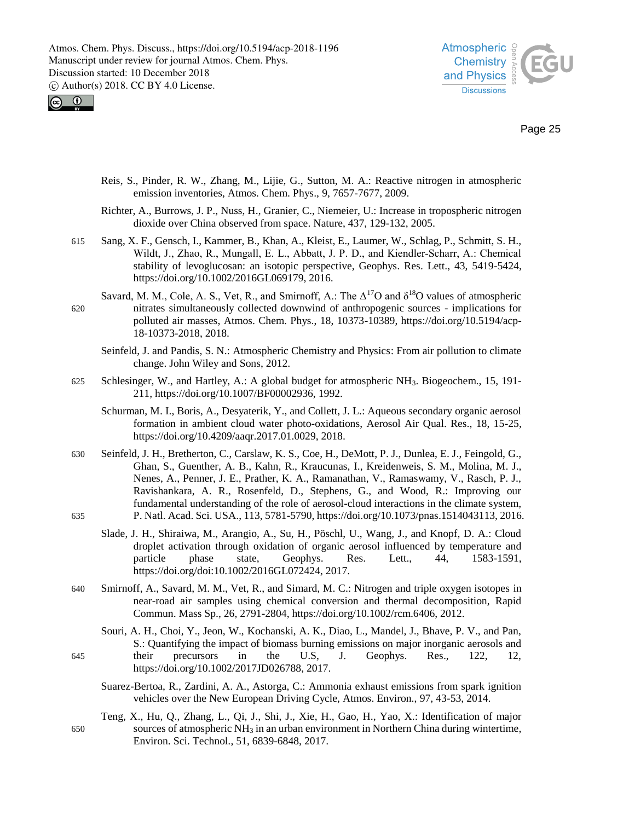



- Reis, S., Pinder, R. W., Zhang, M., Lijie, G., Sutton, M. A.: Reactive nitrogen in atmospheric emission inventories, Atmos. Chem. Phys., 9, 7657-7677, 2009.
- Richter, A., Burrows, J. P., Nuss, H., Granier, C., Niemeier, U.: Increase in tropospheric nitrogen dioxide over China observed from space. Nature, 437, 129-132, 2005.
- 615 Sang, X. F., Gensch, I., Kammer, B., Khan, A., Kleist, E., Laumer, W., Schlag, P., Schmitt, S. H., Wildt, J., Zhao, R., Mungall, E. L., Abbatt, J. P. D., and Kiendler‐Scharr, A.: Chemical stability of levoglucosan: an isotopic perspective, Geophys. Res. Lett., 43, 5419-5424, https://doi.org/10.1002/2016GL069179, 2016.
- Savard, M. M., Cole, A. S., Vet, R., and Smirnoff, A.: The  $\Delta^{17}O$  and  $\delta^{18}O$  values of atmospheric 620 nitrates simultaneously collected downwind of anthropogenic sources - implications for polluted air masses, Atmos. Chem. Phys., 18, 10373-10389, https://doi.org/10.5194/acp-18-10373-2018, 2018.
	- Seinfeld, J. and Pandis, S. N.: Atmospheric Chemistry and Physics: From air pollution to climate change. John Wiley and Sons, 2012.
- 625 Schlesinger, W., and Hartley, A.: A global budget for atmospheric NH3. Biogeochem., 15, 191- 211, https://doi.org/10.1007/BF00002936, 1992.
	- Schurman, M. I., Boris, A., Desyaterik, Y., and Collett, J. L.: Aqueous secondary organic aerosol formation in ambient cloud water photo-oxidations, Aerosol Air Qual. Res., 18, 15-25, https://doi.org/10.4209/aaqr.2017.01.0029, 2018.
- 630 Seinfeld, J. H., Bretherton, C., Carslaw, K. S., Coe, H., DeMott, P. J., Dunlea, E. J., Feingold, G., Ghan, S., Guenther, A. B., Kahn, R., Kraucunas, I., Kreidenweis, S. M., Molina, M. J., Nenes, A., Penner, J. E., Prather, K. A., Ramanathan, V., Ramaswamy, V., Rasch, P. J., Ravishankara, A. R., Rosenfeld, D., Stephens, G., and Wood, R.: Improving our fundamental understanding of the role of aerosol-cloud interactions in the climate system, 635 P. Natl. Acad. Sci. USA., 113, 5781-5790, https://doi.org/10.1073/pnas.1514043113, 2016.
	- Slade, J. H., Shiraiwa, M., Arangio, A., Su, H., Pöschl, U., Wang, J., and Knopf, D. A.: Cloud droplet activation through oxidation of organic aerosol influenced by temperature and particle phase state, Geophys. Res. Lett., 44, 1583-1591, https://doi.org/doi:10.1002/2016GL072424, 2017.
- 640 Smirnoff, A., Savard, M. M., Vet, R., and Simard, M. C.: Nitrogen and triple oxygen isotopes in near-road air samples using chemical conversion and thermal decomposition, Rapid Commun. Mass Sp., 26, 2791-2804, https://doi.org/10.1002/rcm.6406, 2012.
- Souri, A. H., Choi, Y., Jeon, W., Kochanski, A. K., Diao, L., Mandel, J., Bhave, P. V., and Pan, S.: Quantifying the impact of biomass burning emissions on major inorganic aerosols and 645 their precursors in the U.S, J. Geophys. Res., 122, 12, https://doi.org/10.1002/2017JD026788, 2017.
	- Suarez-Bertoa, R., Zardini, A. A., Astorga, C.: Ammonia exhaust emissions from spark ignition vehicles over the New European Driving Cycle, Atmos. Environ., 97, 43-53, 2014.
- Teng, X., Hu, Q., Zhang, L., Qi, J., Shi, J., Xie, H., Gao, H., Yao, X.: Identification of major 650 sources of atmospheric NH<sup>3</sup> in an urban environment in Northern China during wintertime, Environ. Sci. Technol., 51, 6839-6848, 2017.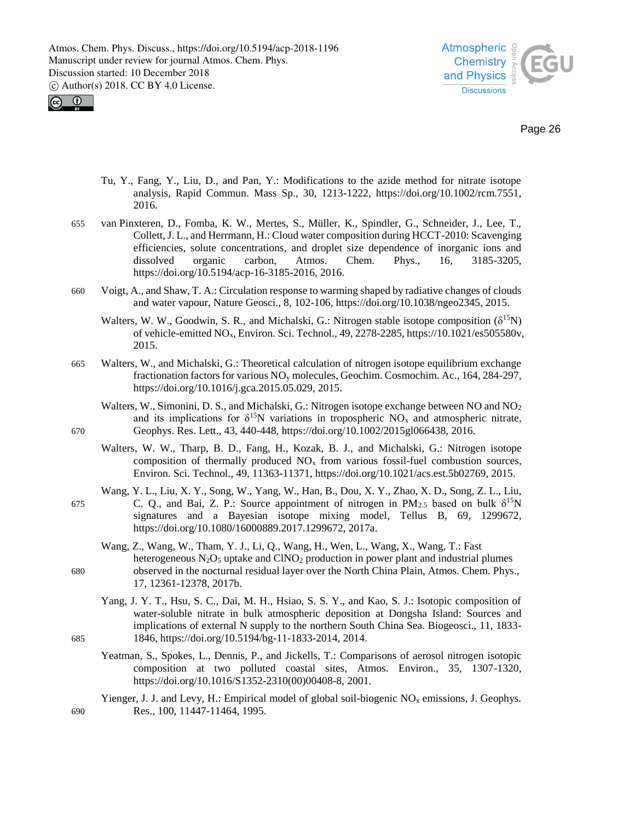

 $\odot$ 

- Tu, Y., Fang, Y., Liu, D., and Pan, Y.: Modifications to the azide method for nitrate isotope analysis, Rapid Commun. Mass Sp., 30, 1213-1222, https://doi.org/10.1002/rcm.7551, 2016.
- 655 van Pinxteren, D., Fomba, K. W., Mertes, S., Müller, K., Spindler, G., Schneider, J., Lee, T., Collett, J. L., and Herrmann, H.: Cloud water composition during HCCT-2010: Scavenging efficiencies, solute concentrations, and droplet size dependence of inorganic ions and dissolved organic carbon, Atmos. Chem. Phys., 16, 3185-3205, https://doi.org/10.5194/acp-16-3185-2016, 2016.
- 660 Voigt, A., and Shaw, T. A.: Circulation response to warming shaped by radiative changes of clouds and water vapour, Nature Geosci., 8, 102-106, https://doi.org/10.1038/ngeo2345, 2015.
	- Walters, W. W., Goodwin, S. R., and Michalski, G.: Nitrogen stable isotope composition ( $\delta^{15}N$ ) of vehicle-emitted NOx, Environ. Sci. Technol., 49, 2278-2285, https://10.1021/es505580v, 2015.
- 665 Walters, W., and Michalski, G.: Theoretical calculation of nitrogen isotope equilibrium exchange fractionation factors for various NO<sup>y</sup> molecules, Geochim. Cosmochim. Ac., 164, 284-297, https://doi.org/10.1016/j.gca.2015.05.029, 2015.
- Walters, W., Simonini, D. S., and Michalski, G.: Nitrogen isotope exchange between NO and NO<sub>2</sub> and its implications for  $\delta^{15}N$  variations in tropospheric NO<sub>x</sub> and atmospheric nitrate, 670 Geophys. Res. Lett., 43, 440-448, https://doi.org/10.1002/2015gl066438, 2016.
	- Walters, W. W., Tharp, B. D., Fang, H., Kozak, B. J., and Michalski, G.: Nitrogen isotope composition of thermally produced  $NO<sub>x</sub>$  from various fossil-fuel combustion sources, Environ. Sci. Technol., 49, 11363-11371, https://doi.org/10.1021/acs.est.5b02769, 2015.
- Wang, Y. L., Liu, X. Y., Song, W., Yang, W., Han, B., Dou, X. Y., Zhao, X. D., Song, Z. L., Liu, 675 C. Q., and Bai, Z. P.: Source appointment of nitrogen in  $PM_{2.5}$  based on bulk  $\delta^{15}N$ signatures and a Bayesian isotope mixing model, Tellus B, 69, 1299672, https://doi.org/10.1080/16000889.2017.1299672, 2017a.
- Wang, Z., Wang, W., Tham, Y. J., Li, Q., Wang, H., Wen, L., Wang, X., Wang, T.: Fast heterogeneous  $N_2O_5$  uptake and ClNO<sub>2</sub> production in power plant and industrial plumes 680 observed in the nocturnal residual layer over the North China Plain, Atmos. Chem. Phys., 17, 12361-12378, 2017b.
- Yang, J. Y. T., Hsu, S. C., Dai, M. H., Hsiao, S. S. Y., and Kao, S. J.: Isotopic composition of water-soluble nitrate in bulk atmospheric deposition at Dongsha Island: Sources and implications of external N supply to the northern South China Sea. Biogeosci., 11, 1833- 685 1846, https://doi.org/10.5194/bg-11-1833-2014, 2014.
	- Yeatman, S., Spokes, L., Dennis, P., and Jickells, T.: Comparisons of aerosol nitrogen isotopic composition at two polluted coastal sites, Atmos. Environ., 35, 1307-1320, https://doi.org/10.1016/S1352-2310(00)00408-8, 2001.
- Yienger, J. J. and Levy, H.: Empirical model of global soil-biogenic  $NO<sub>x</sub>$  emissions, J. Geophys. 690 Res., 100, 11447-11464, 1995.